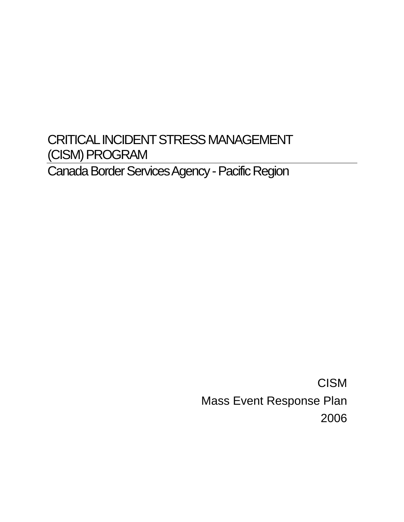# CRITICAL INCIDENT STRESS MANAGEMENT (CISM) PROGRAM Canada Border Services Agency - Pacific Region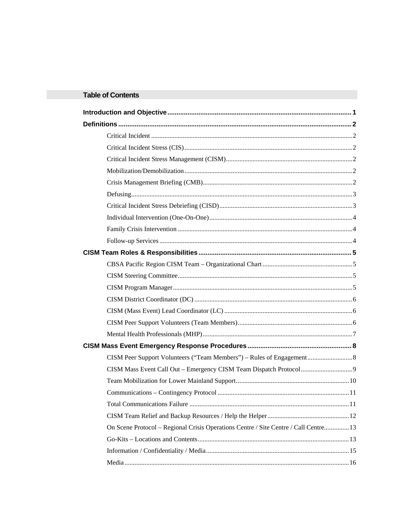# **Table of Contents**

| On Scene Protocol – Regional Crisis Operations Centre / Site Centre / Call Centre 13 |  |
|--------------------------------------------------------------------------------------|--|
|                                                                                      |  |
|                                                                                      |  |
|                                                                                      |  |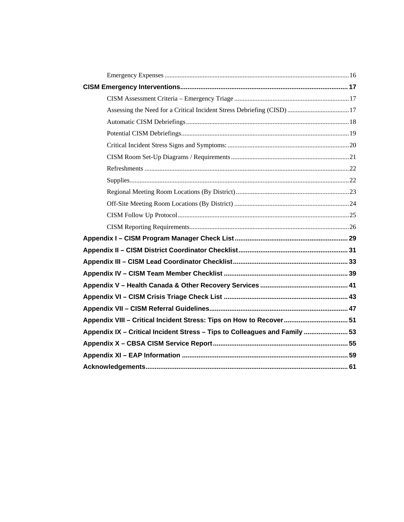| Assessing the Need for a Critical Incident Stress Debriefing (CISD)  17    |  |
|----------------------------------------------------------------------------|--|
|                                                                            |  |
|                                                                            |  |
|                                                                            |  |
|                                                                            |  |
|                                                                            |  |
|                                                                            |  |
|                                                                            |  |
|                                                                            |  |
|                                                                            |  |
|                                                                            |  |
|                                                                            |  |
|                                                                            |  |
|                                                                            |  |
|                                                                            |  |
|                                                                            |  |
|                                                                            |  |
|                                                                            |  |
|                                                                            |  |
| Appendix VIII - Critical Incident Stress: Tips on How to Recover 51        |  |
| Appendix IX - Critical Incident Stress - Tips to Colleagues and Family  53 |  |
|                                                                            |  |
|                                                                            |  |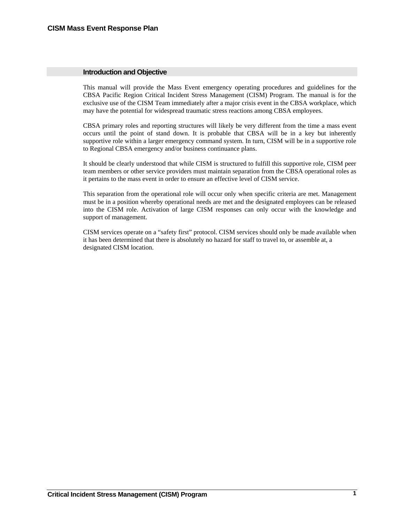# <span id="page-4-0"></span>**Introduction and Objective**

This manual will provide the Mass Event emergency operating procedures and guidelines for the CBSA Pacific Region Critical Incident Stress Management (CISM) Program. The manual is for the exclusive use of the CISM Team immediately after a major crisis event in the CBSA workplace, which may have the potential for widespread traumatic stress reactions among CBSA employees.

CBSA primary roles and reporting structures will likely be very different from the time a mass event occurs until the point of stand down. It is probable that CBSA will be in a key but inherently supportive role within a larger emergency command system. In turn, CISM will be in a supportive role to Regional CBSA emergency and/or business continuance plans.

It should be clearly understood that while CISM is structured to fulfill this supportive role, CISM peer team members or other service providers must maintain separation from the CBSA operational roles as it pertains to the mass event in order to ensure an effective level of CISM service.

This separation from the operational role will occur only when specific criteria are met. Management must be in a position whereby operational needs are met and the designated employees can be released into the CISM role. Activation of large CISM responses can only occur with the knowledge and support of management.

CISM services operate on a "safety first" protocol. CISM services should only be made available when it has been determined that there is absolutely no hazard for staff to travel to, or assemble at, a designated CISM location.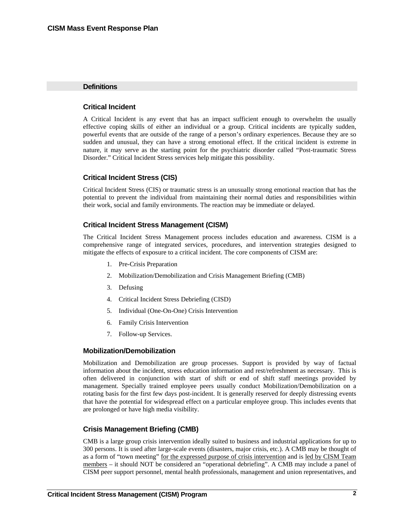## <span id="page-5-0"></span>**Definitions**

# **Critical Incident**

A Critical Incident is any event that has an impact sufficient enough to overwhelm the usually effective coping skills of either an individual or a group. Critical incidents are typically sudden, powerful events that are outside of the range of a person's ordinary experiences. Because they are so sudden and unusual, they can have a strong emotional effect. If the critical incident is extreme in nature, it may serve as the starting point for the psychiatric disorder called "Post-traumatic Stress Disorder." Critical Incident Stress services help mitigate this possibility.

# **Critical Incident Stress (CIS)**

Critical Incident Stress (CIS) or traumatic stress is an unusually strong emotional reaction that has the potential to prevent the individual from maintaining their normal duties and responsibilities within their work, social and family environments. The reaction may be immediate or delayed.

# **Critical Incident Stress Management (CISM)**

The Critical Incident Stress Management process includes education and awareness. CISM is a comprehensive range of integrated services, procedures, and intervention strategies designed to mitigate the effects of exposure to a critical incident. The core components of CISM are:

- 1. Pre-Crisis Preparation
- 2. Mobilization/Demobilization and Crisis Management Briefing (CMB)
- 3. Defusing
- 4. Critical Incident Stress Debriefing (CISD)
- 5. Individual (One-On-One) Crisis Intervention
- 6. Family Crisis Intervention
- 7. Follow-up Services.

# **Mobilization/Demobilization**

Mobilization and Demobilization are group processes. Support is provided by way of factual information about the incident, stress education information and rest/refreshment as necessary. This is often delivered in conjunction with start of shift or end of shift staff meetings provided by management. Specially trained employee peers usually conduct Mobilization/Demobilization on a rotating basis for the first few days post-incident. It is generally reserved for deeply distressing events that have the potential for widespread effect on a particular employee group. This includes events that are prolonged or have high media visibility.

# **Crisis Management Briefing (CMB)**

CMB is a large group crisis intervention ideally suited to business and industrial applications for up to 300 persons. It is used after large-scale events (disasters, major crisis, etc.). A CMB may be thought of as a form of "town meeting" for the expressed purpose of crisis intervention and is led by CISM Team members – it should NOT be considered an "operational debriefing". A CMB may include a panel of CISM peer support personnel, mental health professionals, management and union representatives, and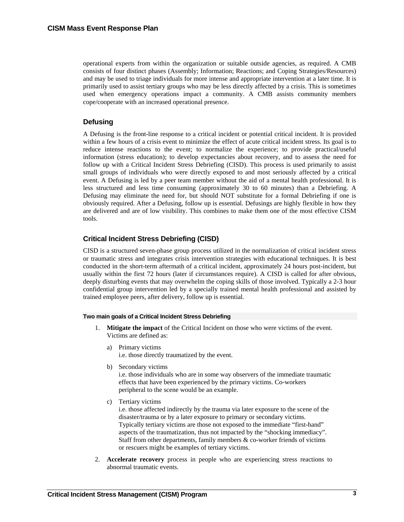<span id="page-6-0"></span>operational experts from within the organization or suitable outside agencies, as required. A CMB consists of four distinct phases (Assembly; Information; Reactions; and Coping Strategies/Resources) and may be used to triage individuals for more intense and appropriate intervention at a later time. It is primarily used to assist tertiary groups who may be less directly affected by a crisis. This is sometimes used when emergency operations impact a community. A CMB assists community members cope/cooperate with an increased operational presence.

# **Defusing**

A Defusing is the front-line response to a critical incident or potential critical incident. It is provided within a few hours of a crisis event to minimize the effect of acute critical incident stress. Its goal is to reduce intense reactions to the event; to normalize the experience; to provide practical/useful information (stress education); to develop expectancies about recovery, and to assess the need for follow up with a Critical Incident Stress Debriefing (CISD). This process is used primarily to assist small groups of individuals who were directly exposed to and most seriously affected by a critical event. A Defusing is led by a peer team member without the aid of a mental health professional. It is less structured and less time consuming (approximately 30 to 60 minutes) than a Debriefing. A Defusing may eliminate the need for, but should NOT substitute for a formal Debriefing if one is obviously required. After a Defusing, follow up is essential. Defusings are highly flexible in how they are delivered and are of low visibility. This combines to make them one of the most effective CISM tools.

# **Critical Incident Stress Debriefing (CISD)**

CISD is a structured seven-phase group process utilized in the normalization of critical incident stress or traumatic stress and integrates crisis intervention strategies with educational techniques. It is best conducted in the short-term aftermath of a critical incident, approximately 24 hours post-incident, but usually within the first 72 hours (later if circumstances require). A CISD is called for after obvious, deeply disturbing events that may overwhelm the coping skills of those involved. Typically a 2-3 hour confidential group intervention led by a specially trained mental health professional and assisted by trained employee peers, after delivery, follow up is essential.

#### **Two main goals of a Critical Incident Stress Debriefing**

- 1. **Mitigate the impact** of the Critical Incident on those who were victims of the event. Victims are defined as:
	- a) Primary victims i.e. those directly traumatized by the event.
	- b) Secondary victims

i.e. those individuals who are in some way observers of the immediate traumatic effects that have been experienced by the primary victims. Co-workers peripheral to the scene would be an example.

c) Tertiary victims

i.e. those affected indirectly by the trauma via later exposure to the scene of the disaster/trauma or by a later exposure to primary or secondary victims. Typically tertiary victims are those not exposed to the immediate "first-hand" aspects of the traumatization, thus not impacted by the "shocking immediacy". Staff from other departments, family members & co-worker friends of victims or rescuers might be examples of tertiary victims.

2. **Accelerate recovery** process in people who are experiencing stress reactions to abnormal traumatic events.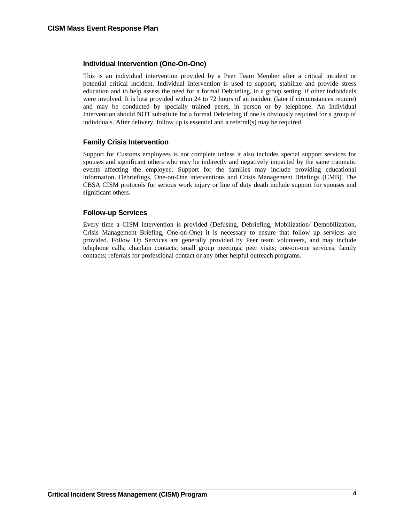# <span id="page-7-0"></span>**Individual Intervention (One-On-One)**

This is an individual intervention provided by a Peer Team Member after a critical incident or potential critical incident. Individual Intervention is used to support, stabilize and provide stress education and to help assess the need for a formal Debriefing, in a group setting, if other individuals were involved. It is best provided within 24 to 72 hours of an incident (later if circumstances require) and may be conducted by specially trained peers, in person or by telephone. An Individual Intervention should NOT substitute for a formal Debriefing if one is obviously required for a group of individuals. After delivery, follow up is essential and a referral(s) may be required.

# **Family Crisis Intervention**

Support for Customs employees is not complete unless it also includes special support services for spouses and significant others who may be indirectly and negatively impacted by the same traumatic events affecting the employee. Support for the families may include providing educational information, Debriefings, One-on-One interventions and Crisis Management Briefings (CMB). The CBSA CISM protocols for serious work injury or line of duty death include support for spouses and significant others.

# **Follow-up Services**

Every time a CISM intervention is provided (Defusing, Debriefing, Mobilization/ Demobilization, Crisis Management Briefing, One-on-One) it is necessary to ensure that follow up services are provided. Follow Up Services are generally provided by Peer team volunteers, and may include telephone calls; chaplain contacts; small group meetings; peer visits; one-on-one services; family contacts; referrals for professional contact or any other helpful outreach programs.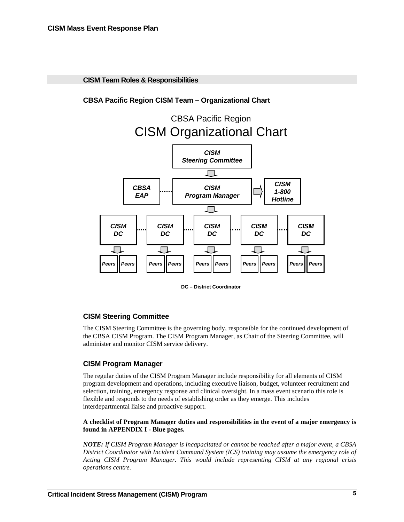<span id="page-8-0"></span>**CISM Team Roles & Responsibilities** 

**CBSA Pacific Region CISM Team – Organizational Chart** 



**DC – District Coordinator**

# **CISM Steering Committee**

The CISM Steering Committee is the governing body, responsible for the continued development of the CBSA CISM Program. The CISM Program Manager, as Chair of the Steering Committee, will administer and monitor CISM service delivery.

# **CISM Program Manager**

The regular duties of the CISM Program Manager include responsibility for all elements of CISM program development and operations, including executive liaison, budget, volunteer recruitment and selection, training, emergency response and clinical oversight. In a mass event scenario this role is flexible and responds to the needs of establishing order as they emerge. This includes interdepartmental liaise and proactive support.

# **A checklist of Program Manager duties and responsibilities in the event of a major emergency is found in APPENDIX I - Blue pages.**

*NOTE: If CISM Program Manager is incapacitated or cannot be reached after a major event, a CBSA District Coordinator with Incident Command System (ICS) training may assume the emergency role of Acting CISM Program Manager. This would include representing CISM at any regional crisis operations centre.*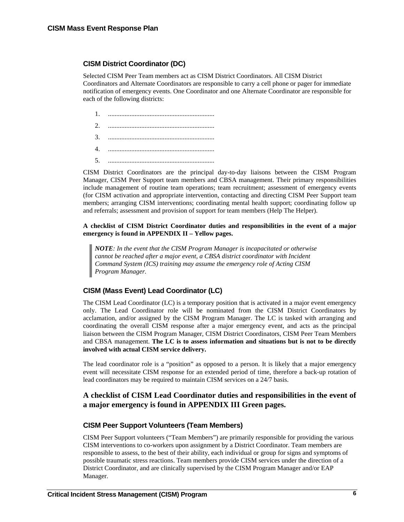# <span id="page-9-0"></span>**CISM District Coordinator (DC)**

Selected CISM Peer Team members act as CISM District Coordinators. All CISM District Coordinators and Alternate Coordinators are responsible to carry a cell phone or pager for immediate notification of emergency events. One Coordinator and one Alternate Coordinator are responsible for each of the following districts:

- 1. ................................................................
- $\overline{\mathcal{C}}$
- 3. ................................................................
- 4. ................................................................
- 5. ................................................................

CISM District Coordinators are the principal day-to-day liaisons between the CISM Program Manager, CISM Peer Support team members and CBSA management. Their primary responsibilities include management of routine team operations; team recruitment; assessment of emergency events (for CISM activation and appropriate intervention, contacting and directing CISM Peer Support team members; arranging CISM interventions; coordinating mental health support; coordinating follow up and referrals; assessment and provision of support for team members (Help The Helper).

# **A checklist of CISM District Coordinator duties and responsibilities in the event of a major emergency is found in APPENDIX II – Yellow pages.**

*NOTE: In the event that the CISM Program Manager is incapacitated or otherwise cannot be reached after a major event, a CBSA district coordinator with Incident Command System (ICS) training may assume the emergency role of Acting CISM Program Manager.* 

# **CISM (Mass Event) Lead Coordinator (LC)**

The CISM Lead Coordinator (LC) is a temporary position that is activated in a major event emergency only. The Lead Coordinator role will be nominated from the CISM District Coordinators by acclamation, and/or assigned by the CISM Program Manager. The LC is tasked with arranging and coordinating the overall CISM response after a major emergency event, and acts as the principal liaison between the CISM Program Manager, CISM District Coordinators, CISM Peer Team Members and CBSA management. **The LC is to assess information and situations but is not to be directly involved with actual CISM service delivery.** 

The lead coordinator role is a "position" as opposed to a person. It is likely that a major emergency event will necessitate CISM response for an extended period of time, therefore a back-up rotation of lead coordinators may be required to maintain CISM services on a 24/7 basis.

# **A checklist of CISM Lead Coordinator duties and responsibilities in the event of a major emergency is found in APPENDIX III Green pages.**

# **CISM Peer Support Volunteers (Team Members)**

CISM Peer Support volunteers ("Team Members") are primarily responsible for providing the various CISM interventions to co-workers upon assignment by a District Coordinator. Team members are responsible to assess, to the best of their ability, each individual or group for signs and symptoms of possible traumatic stress reactions. Team members provide CISM services under the direction of a District Coordinator, and are clinically supervised by the CISM Program Manager and/or EAP Manager.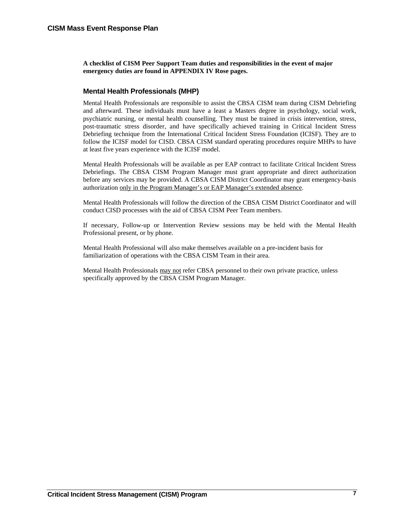<span id="page-10-0"></span>**A checklist of CISM Peer Support Team duties and responsibilities in the event of major emergency duties are found in APPENDIX IV Rose pages.** 

# **Mental Health Professionals (MHP)**

Mental Health Professionals are responsible to assist the CBSA CISM team during CISM Debriefing and afterward. These individuals must have a least a Masters degree in psychology, social work, psychiatric nursing, or mental health counselling. They must be trained in crisis intervention, stress, post-traumatic stress disorder, and have specifically achieved training in Critical Incident Stress Debriefing technique from the International Critical Incident Stress Foundation (ICISF). They are to follow the ICISF model for CISD. CBSA CISM standard operating procedures require MHPs to have at least five years experience with the ICISF model.

Mental Health Professionals will be available as per EAP contract to facilitate Critical Incident Stress Debriefings. The CBSA CISM Program Manager must grant appropriate and direct authorization before any services may be provided. A CBSA CISM District Coordinator may grant emergency-basis authorization only in the Program Manager's or EAP Manager's extended absence.

Mental Health Professionals will follow the direction of the CBSA CISM District Coordinator and will conduct CISD processes with the aid of CBSA CISM Peer Team members.

If necessary, Follow-up or Intervention Review sessions may be held with the Mental Health Professional present, or by phone.

Mental Health Professional will also make themselves available on a pre-incident basis for familiarization of operations with the CBSA CISM Team in their area.

Mental Health Professionals may not refer CBSA personnel to their own private practice, unless specifically approved by the CBSA CISM Program Manager.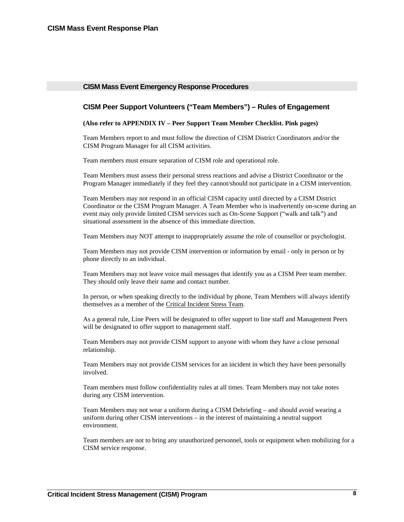# <span id="page-11-0"></span>**CISM Mass Event Emergency Response Procedures**

# **CISM Peer Support Volunteers ("Team Members") – Rules of Engagement**

#### **(Also refer to APPENDIX IV – Peer Support Team Member Checklist. Pink pages)**

Team Members report to and must follow the direction of CISM District Coordinators and/or the CISM Program Manager for all CISM activities.

Team members must ensure separation of CISM role and operational role.

Team Members must assess their personal stress reactions and advise a District Coordinator or the Program Manager immediately if they feel they cannot/should not participate in a CISM intervention.

Team Members may not respond in an official CISM capacity until directed by a CISM District Coordinator or the CISM Program Manager. A Team Member who is inadvertently on-scene during an event may only provide limited CISM services such as On-Scene Support ("walk and talk") and situational assessment in the absence of this immediate direction.

Team Members may NOT attempt to inappropriately assume the role of counsellor or psychologist.

Team Members may not provide CISM intervention or information by email - only in person or by phone directly to an individual.

Team Members may not leave voice mail messages that identify you as a CISM Peer team member. They should only leave their name and contact number.

In person, or when speaking directly to the individual by phone, Team Members will always identify themselves as a member of the Critical Incident Stress Team.

As a general rule, Line Peers will be designated to offer support to line staff and Management Peers will be designated to offer support to management staff.

Team Members may not provide CISM support to anyone with whom they have a close personal relationship.

Team Members may not provide CISM services for an incident in which they have been personally involved.

Team members must follow confidentiality rules at all times. Team Members may not take notes during any CISM intervention.

Team Members may not wear a uniform during a CISM Debriefing – and should avoid wearing a uniform during other CISM interventions – in the interest of maintaining a neutral support environment.

Team members are not to bring any unauthorized personnel, tools or equipment when mobilizing for a CISM service response.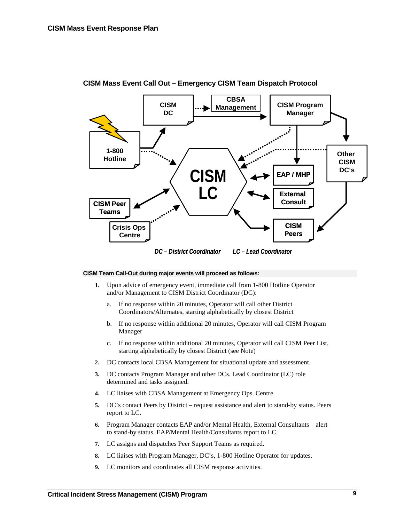

<span id="page-12-0"></span>**CISM Mass Event Call Out – Emergency CISM Team Dispatch Protocol** 

#### **CISM Team Call-Out during major events will proceed as follows:**

- **1.** Upon advice of emergency event, immediate call from 1-800 Hotline Operator and/or Management to CISM District Coordinator (DC):
	- a. If no response within 20 minutes, Operator will call other District Coordinators/Alternates, starting alphabetically by closest District
	- b. If no response within additional 20 minutes, Operator will call CISM Program Manager
	- c. If no response within additional 20 minutes, Operator will call CISM Peer List, starting alphabetically by closest District (see Note)
- **2.** DC contacts local CBSA Management for situational update and assessment.
- **3.** DC contacts Program Manager and other DCs. Lead Coordinator (LC) role determined and tasks assigned.
- **4.** LC liaises with CBSA Management at Emergency Ops. Centre
- **5.** DC's contact Peers by District request assistance and alert to stand-by status. Peers report to LC.
- **6.** Program Manager contacts EAP and/or Mental Health, External Consultants alert to stand-by status. EAP/Mental Health/Consultants report to LC.
- **7.** LC assigns and dispatches Peer Support Teams as required.
- **8.** LC liaises with Program Manager, DC's, 1-800 Hotline Operator for updates.
- **9.** LC monitors and coordinates all CISM response activities.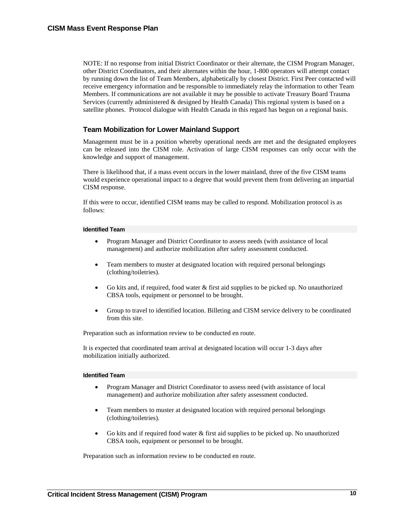<span id="page-13-0"></span>NOTE: If no response from initial District Coordinator or their alternate, the CISM Program Manager, other District Coordinators, and their alternates within the hour, 1-800 operators will attempt contact by running down the list of Team Members, alphabetically by closest District. First Peer contacted will receive emergency information and be responsible to immediately relay the information to other Team Members. If communications are not available it may be possible to activate Treasury Board Trauma Services (currently administered & designed by Health Canada) This regional system is based on a satellite phones. Protocol dialogue with Health Canada in this regard has begun on a regional basis.

# **Team Mobilization for Lower Mainland Support**

Management must be in a position whereby operational needs are met and the designated employees can be released into the CISM role. Activation of large CISM responses can only occur with the knowledge and support of management.

There is likelihood that, if a mass event occurs in the lower mainland, three of the five CISM teams would experience operational impact to a degree that would prevent them from delivering an impartial CISM response.

If this were to occur, identified CISM teams may be called to respond. Mobilization protocol is as follows:

#### **Identified Team**

- Program Manager and District Coordinator to assess needs (with assistance of local management) and authorize mobilization after safety assessment conducted.
- Team members to muster at designated location with required personal belongings (clothing/toiletries).
- Go kits and, if required, food water  $&$  first aid supplies to be picked up. No unauthorized CBSA tools, equipment or personnel to be brought.
- Group to travel to identified location. Billeting and CISM service delivery to be coordinated from this site.

Preparation such as information review to be conducted en route.

It is expected that coordinated team arrival at designated location will occur 1-3 days after mobilization initially authorized.

#### **Identified Team**

- Program Manager and District Coordinator to assess need (with assistance of local management) and authorize mobilization after safety assessment conducted.
- Team members to muster at designated location with required personal belongings (clothing/toiletries).
- Go kits and if required food water  $\&$  first aid supplies to be picked up. No unauthorized CBSA tools, equipment or personnel to be brought.

Preparation such as information review to be conducted en route.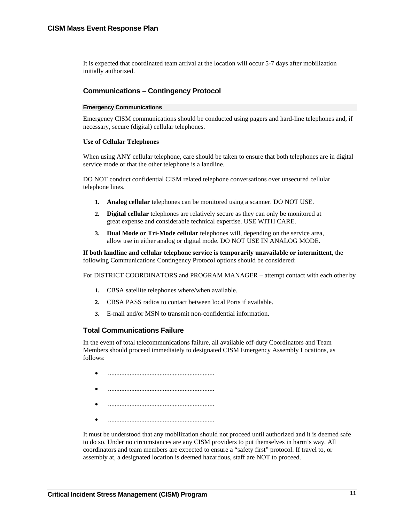<span id="page-14-0"></span>It is expected that coordinated team arrival at the location will occur 5-7 days after mobilization initially authorized.

# **Communications – Contingency Protocol**

#### **Emergency Communications**

Emergency CISM communications should be conducted using pagers and hard-line telephones and, if necessary, secure (digital) cellular telephones.

#### **Use of Cellular Telephones**

When using ANY cellular telephone, care should be taken to ensure that both telephones are in digital service mode or that the other telephone is a landline.

DO NOT conduct confidential CISM related telephone conversations over unsecured cellular telephone lines.

- **1. Analog cellular** telephones can be monitored using a scanner. DO NOT USE.
- **2. Digital cellular** telephones are relatively secure as they can only be monitored at great expense and considerable technical expertise. USE WITH CARE.
- **3. Dual Mode or Tri-Mode cellular** telephones will, depending on the service area, allow use in either analog or digital mode. DO NOT USE IN ANALOG MODE.

**If both landline and cellular telephone service is temporarily unavailable or intermittent**, the following Communications Contingency Protocol options should be considered:

For DISTRICT COORDINATORS and PROGRAM MANAGER – attempt contact with each other by

- **1.** CBSA satellite telephones where/when available.
- **2.** CBSA PASS radios to contact between local Ports if available.
- **3.** E-mail and/or MSN to transmit non-confidential information.

# **Total Communications Failure**

In the event of total telecommunications failure, all available off-duty Coordinators and Team Members should proceed immediately to designated CISM Emergency Assembly Locations, as follows:

- ................................................................
- ................................................................
- 
- 

It must be understood that any mobilization should not proceed until authorized and it is deemed safe to do so. Under no circumstances are any CISM providers to put themselves in harm's way. All coordinators and team members are expected to ensure a "safety first" protocol. If travel to, or assembly at, a designated location is deemed hazardous, staff are NOT to proceed.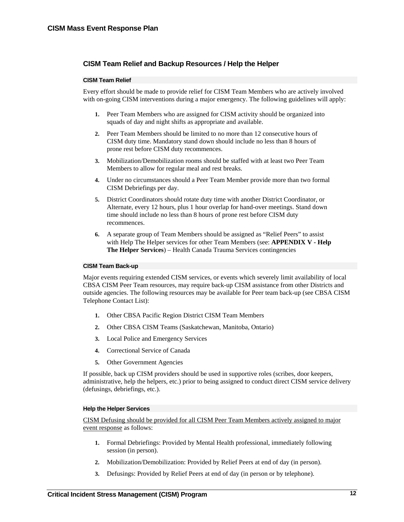# <span id="page-15-0"></span>**CISM Team Relief and Backup Resources / Help the Helper**

#### **CISM Team Relief**

Every effort should be made to provide relief for CISM Team Members who are actively involved with on-going CISM interventions during a major emergency. The following guidelines will apply:

- **1.** Peer Team Members who are assigned for CISM activity should be organized into squads of day and night shifts as appropriate and available.
- **2.** Peer Team Members should be limited to no more than 12 consecutive hours of CISM duty time. Mandatory stand down should include no less than 8 hours of prone rest before CISM duty recommences.
- **3.** Mobilization/Demobilization rooms should be staffed with at least two Peer Team Members to allow for regular meal and rest breaks.
- **4.** Under no circumstances should a Peer Team Member provide more than two formal CISM Debriefings per day.
- **5.** District Coordinators should rotate duty time with another District Coordinator, or Alternate, every 12 hours, plus 1 hour overlap for hand-over meetings. Stand down time should include no less than 8 hours of prone rest before CISM duty recommences.
- **6.** A separate group of Team Members should be assigned as "Relief Peers" to assist with Help The Helper services for other Team Members (see: **APPENDIX V - Help The Helper Services**) – Health Canada Trauma Services contingencies

#### **CISM Team Back-up**

Major events requiring extended CISM services, or events which severely limit availability of local CBSA CISM Peer Team resources, may require back-up CISM assistance from other Districts and outside agencies. The following resources may be available for Peer team back-up (see CBSA CISM Telephone Contact List):

- **1.** Other CBSA Pacific Region District CISM Team Members
- **2.** Other CBSA CISM Teams (Saskatchewan, Manitoba, Ontario)
- **3.** Local Police and Emergency Services
- **4.** Correctional Service of Canada
- **5.** Other Government Agencies

If possible, back up CISM providers should be used in supportive roles (scribes, door keepers, administrative, help the helpers, etc.) prior to being assigned to conduct direct CISM service delivery (defusings, debriefings, etc.).

#### **Help the Helper Services**

CISM Defusing should be provided for all CISM Peer Team Members actively assigned to major event response as follows:

- **1.** Formal Debriefings: Provided by Mental Health professional, immediately following session (in person).
- **2.** Mobilization/Demobilization: Provided by Relief Peers at end of day (in person).
- **3.** Defusings: Provided by Relief Peers at end of day (in person or by telephone).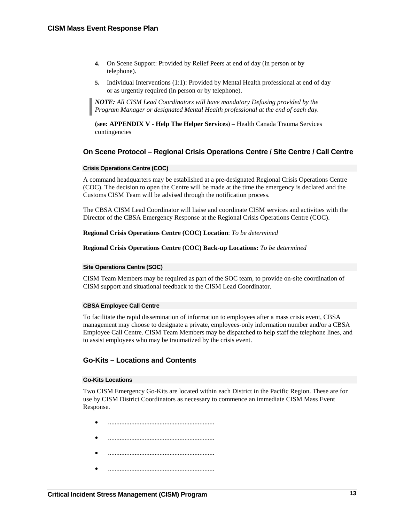- <span id="page-16-0"></span>**4.** On Scene Support: Provided by Relief Peers at end of day (in person or by telephone).
- **5.** Individual Interventions (1:1): Provided by Mental Health professional at end of day or as urgently required (in person or by telephone).

*NOTE: All CISM Lead Coordinators will have mandatory Defusing provided by the Program Manager or designated Mental Health professional at the end of each day.* 

**(see: APPENDIX V - Help The Helper Services**) – Health Canada Trauma Services contingencies

# **On Scene Protocol – Regional Crisis Operations Centre / Site Centre / Call Centre**

### **Crisis Operations Centre (COC)**

A command headquarters may be established at a pre-designated Regional Crisis Operations Centre (COC). The decision to open the Centre will be made at the time the emergency is declared and the Customs CISM Team will be advised through the notification process.

The CBSA CISM Lead Coordinator will liaise and coordinate CISM services and activities with the Director of the CBSA Emergency Response at the Regional Crisis Operations Centre (COC).

### **Regional Crisis Operations Centre (COC) Location**: *To be determined*

**Regional Crisis Operations Centre (COC) Back-up Locations:** *To be determined* 

#### **Site Operations Centre (SOC)**

CISM Team Members may be required as part of the SOC team, to provide on-site coordination of CISM support and situational feedback to the CISM Lead Coordinator.

#### **CBSA Employee Call Centre**

To facilitate the rapid dissemination of information to employees after a mass crisis event, CBSA management may choose to designate a private, employees-only information number and/or a CBSA Employee Call Centre. CISM Team Members may be dispatched to help staff the telephone lines, and to assist employees who may be traumatized by the crisis event.

# **Go-Kits – Locations and Contents**

#### **Go-Kits Locations**

Two CISM Emergency Go-Kits are located within each District in the Pacific Region. These are for use by CISM District Coordinators as necessary to commence an immediate CISM Mass Event Response.

- ................................................................
- ................................................................
- ................................................................
- ................................................................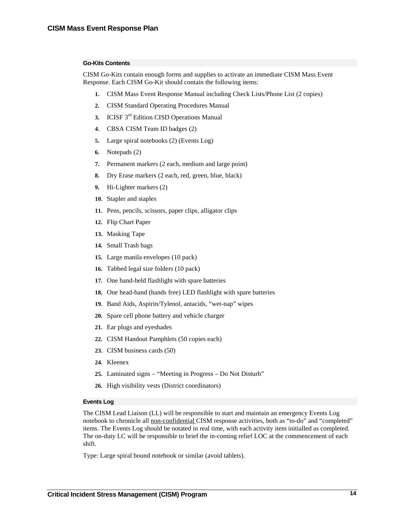#### **Go-Kits Contents**

CISM Go-Kits contain enough forms and supplies to activate an immediate CISM Mass Event Response. Each CISM Go-Kit should contain the following items:

- **1.** CISM Mass Event Response Manual including Check Lists/Phone List (2 copies)
- **2.** CISM Standard Operating Procedures Manual
- **3.** ICISF 3rd Edition CISD Operations Manual
- **4.** CBSA CISM Team ID badges (2)
- **5.** Large spiral notebooks (2) (Events Log)
- **6.** Notepads (2)
- **7.** Permanent markers (2 each, medium and large point)
- **8.** Dry Erase markers (2 each, red, green, blue, black)
- **9.** Hi-Lighter markers (2)
- **10.** Stapler and staples
- **11.** Pens, pencils, scissors, paper clips, alligator clips
- **12.** Flip Chart Paper
- **13.** Masking Tape
- **14.** Small Trash bags
- **15.** Large manila envelopes (10 pack)
- **16.** Tabbed legal size folders (10 pack)
- **17.** One hand-held flashlight with spare batteries
- **18.** One head-band (hands free) LED flashlight with spare batteries
- **19.** Band Aids, Aspirin/Tylenol, antacids, "wet-nap" wipes
- **20.** Spare cell phone battery and vehicle charger
- **21.** Ear plugs and eyeshades
- **22.** CISM Handout Pamphlets (50 copies each)
- **23.** CISM business cards (50)
- **24.** Kleenex
- **25.** Laminated signs "Meeting in Progress Do Not Disturb"
- **26.** High visibility vests (District coordinators)

#### **Events Log**

The CISM Lead Liaison (LL) will be responsible to start and maintain an emergency Events Log notebook to chronicle all non-confidential CISM response activities, both as "to-do" and "completed" items. The Events Log should be notated in real time, with each activity item initialled as completed. The on-duty LC will be responsible to brief the in-coming relief LOC at the commencement of each shift.

Type: Large spiral bound notebook or similar (avoid tablets).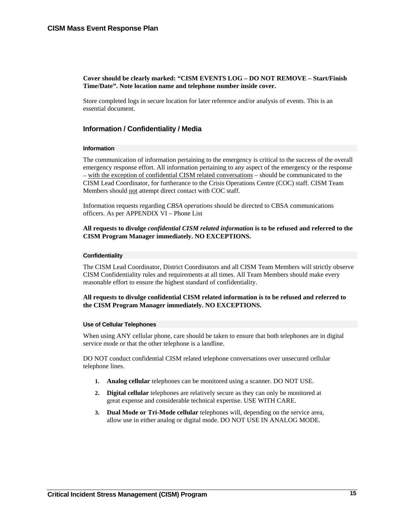## <span id="page-18-0"></span>**Cover should be clearly marked: "CISM EVENTS LOG – DO NOT REMOVE – Start/Finish Time/Date". Note location name and telephone number inside cover.**

Store completed logs in secure location for later reference and/or analysis of events. This is an essential document.

# **Information / Confidentiality / Media**

#### **Information**

The communication of information pertaining to the emergency is critical to the success of the overall emergency response effort. All information pertaining to any aspect of the emergency or the response – with the exception of confidential CISM related conversations – should be communicated to the CISM Lead Coordinator, for furtherance to the Crisis Operations Centre (COC) staff. CISM Team Members should not attempt direct contact with COC staff.

Information requests regarding *CBSA operations* should be directed to CBSA communications officers. As per APPENDIX VI – Phone List

#### **All requests to divulge** *confidential CISM related information* **is to be refused and referred to the CISM Program Manager immediately. NO EXCEPTIONS.**

#### **Confidentiality**

The CISM Lead Coordinator, District Coordinators and all CISM Team Members will strictly observe CISM Confidentiality rules and requirements at all times. All Team Members should make every reasonable effort to ensure the highest standard of confidentiality.

### **All requests to divulge confidential CISM related information is to be refused and referred to the CISM Program Manager immediately. NO EXCEPTIONS.**

#### **Use of Cellular Telephones**

When using ANY cellular phone, care should be taken to ensure that both telephones are in digital service mode or that the other telephone is a landline.

DO NOT conduct confidential CISM related telephone conversations over unsecured cellular telephone lines.

- **1. Analog cellular** telephones can be monitored using a scanner. DO NOT USE.
- **2. Digital cellular** telephones are relatively secure as they can only be monitored at great expense and considerable technical expertise. USE WITH CARE.
- **3. Dual Mode or Tri-Mode cellular** telephones will, depending on the service area, allow use in either analog or digital mode. DO NOT USE IN ANALOG MODE.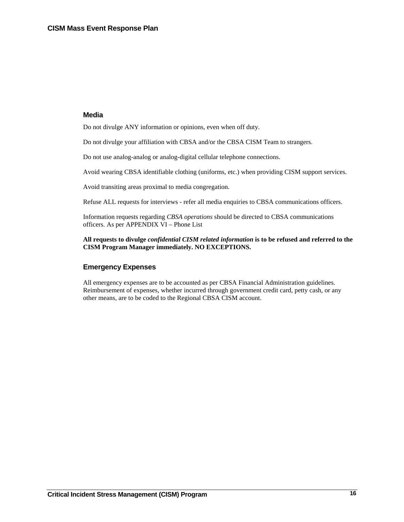## <span id="page-19-0"></span>**Media**

Do not divulge ANY information or opinions, even when off duty.

Do not divulge your affiliation with CBSA and/or the CBSA CISM Team to strangers.

Do not use analog-analog or analog-digital cellular telephone connections.

Avoid wearing CBSA identifiable clothing (uniforms, etc.) when providing CISM support services.

Avoid transiting areas proximal to media congregation.

Refuse ALL requests for interviews - refer all media enquiries to CBSA communications officers.

Information requests regarding *CBSA operations* should be directed to CBSA communications officers. As per APPENDIX VI – Phone List

# **All requests to divulge** *confidential CISM related information* **is to be refused and referred to the CISM Program Manager immediately. NO EXCEPTIONS.**

# **Emergency Expenses**

All emergency expenses are to be accounted as per CBSA Financial Administration guidelines. Reimbursement of expenses, whether incurred through government credit card, petty cash, or any other means, are to be coded to the Regional CBSA CISM account.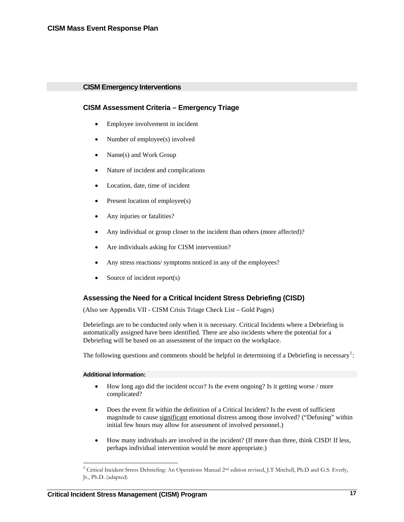# <span id="page-20-0"></span>**CISM Emergency Interventions**

# **CISM Assessment Criteria – Emergency Triage**

- Employee involvement in incident
- Number of employee(s) involved
- Name(s) and Work Group
- Nature of incident and complications
- Location, date, time of incident
- Present location of employee(s)
- Any injuries or fatalities?
- Any individual or group closer to the incident than others (more affected)?
- Are individuals asking for CISM intervention?
- Any stress reactions/ symptoms noticed in any of the employees?
- Source of incident report(s)

# **Assessing the Need for a Critical Incident Stress Debriefing (CISD)**

(Also see Appendix VII - CISM Crisis Triage Check List – Gold Pages)

Debriefings are to be conducted only when it is necessary. Critical Incidents where a Debriefing is automatically assigned have been identified. There are also incidents where the potential for a Debriefing will be based on an assessment of the impact on the workplace.

The following questions and comments should be helpful in determining if a Debriefing is necessary<sup>[1](#page-20-1)</sup>:

#### **Additional Information:**

 $\overline{a}$ 

- How long ago did the incident occur? Is the event ongoing? Is it getting worse / more complicated?
- Does the event fit within the definition of a Critical Incident? Is the event of sufficient magnitude to cause significant emotional distress among those involved? ("Defusing" within initial few hours may allow for assessment of involved personnel.)
- How many individuals are involved in the incident? (If more than three, think CISD! If less, perhaps individual intervention would be more appropriate.)

<span id="page-20-1"></span> $1$  Critical Incident Stress Debriefing: An Operations Manual 2<sup>nd</sup> edition revised, J.T Mitchell, Ph.D and G.S. Everly, Jr., Ph.D. (adapted)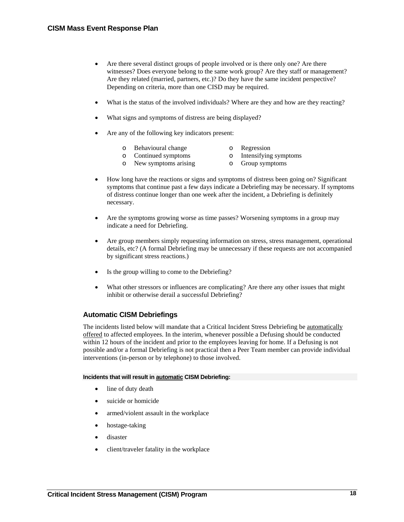- <span id="page-21-0"></span>• Are there several distinct groups of people involved or is there only one? Are there witnesses? Does everyone belong to the same work group? Are they staff or management? Are they related (married, partners, etc.)? Do they have the same incident perspective? Depending on criteria, more than one CISD may be required.
- What is the status of the involved individuals? Where are they and how are they reacting?
- What signs and symptoms of distress are being displayed?
- Are any of the following key indicators present:
	- o Behavioural change o Regression<br>
	o Continued symptoms<br>
	o Intensifying
	- o Intensifying symptoms
	- o New symptoms arising o Group symptoms
- How long have the reactions or signs and symptoms of distress been going on? Significant symptoms that continue past a few days indicate a Debriefing may be necessary. If symptoms of distress continue longer than one week after the incident, a Debriefing is definitely necessary.
- Are the symptoms growing worse as time passes? Worsening symptoms in a group may indicate a need for Debriefing.
- Are group members simply requesting information on stress, stress management, operational details, etc? (A formal Debriefing may be unnecessary if these requests are not accompanied by significant stress reactions.)
- Is the group willing to come to the Debriefing?
- What other stressors or influences are complicating? Are there any other issues that might inhibit or otherwise derail a successful Debriefing?

# **Automatic CISM Debriefings**

The incidents listed below will mandate that a Critical Incident Stress Debriefing be automatically offered to affected employees. In the interim, whenever possible a Defusing should be conducted within 12 hours of the incident and prior to the employees leaving for home. If a Defusing is not possible and/or a formal Debriefing is not practical then a Peer Team member can provide individual interventions (in-person or by telephone) to those involved.

#### **Incidents that will result in automatic CISM Debriefing:**

- line of duty death
- suicide or homicide
- armed/violent assault in the workplace
- hostage-taking
- disaster
- client/traveler fatality in the workplace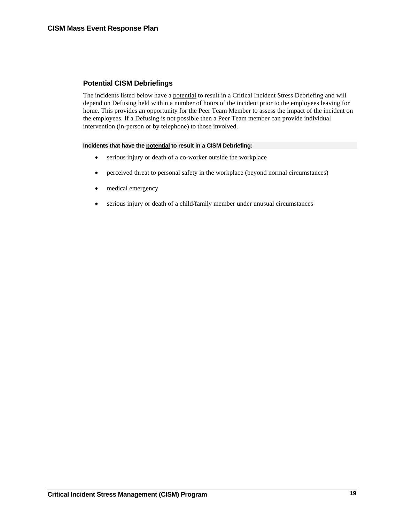# <span id="page-22-0"></span>**Potential CISM Debriefings**

The incidents listed below have a potential to result in a Critical Incident Stress Debriefing and will depend on Defusing held within a number of hours of the incident prior to the employees leaving for home. This provides an opportunity for the Peer Team Member to assess the impact of the incident on the employees. If a Defusing is not possible then a Peer Team member can provide individual intervention (in-person or by telephone) to those involved.

## **Incidents that have the potential to result in a CISM Debriefing:**

- serious injury or death of a co-worker outside the workplace
- perceived threat to personal safety in the workplace (beyond normal circumstances)
- medical emergency
- serious injury or death of a child/family member under unusual circumstances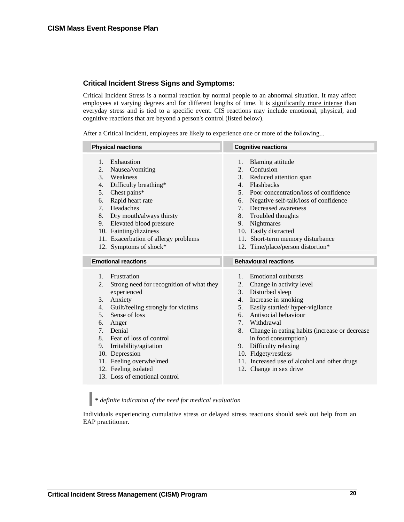# <span id="page-23-0"></span>**Critical Incident Stress Signs and Symptoms:**

Critical Incident Stress is a normal reaction by normal people to an abnormal situation. It may affect employees at varying degrees and for different lengths of time. It is significantly more intense than everyday stress and is tied to a specific event. CIS reactions may include emotional, physical, and cognitive reactions that are beyond a person's control (listed below).

After a Critical Incident, employees are likely to experience one or more of the following...

# *\* definite indication of the need for medical evaluation*

Individuals experiencing cumulative stress or delayed stress reactions should seek out help from an EAP practitioner.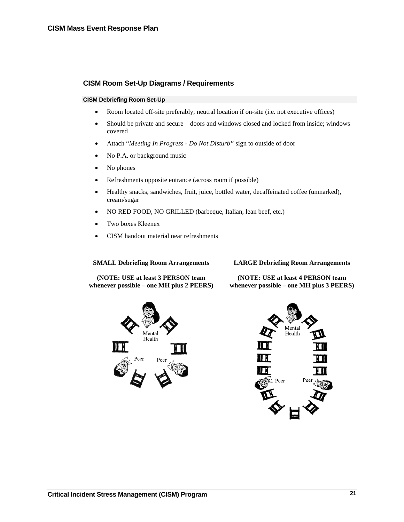# <span id="page-24-0"></span>**CISM Room Set-Up Diagrams / Requirements**

#### **CISM Debriefing Room Set-Up**

- Room located off-site preferably; neutral location if on-site (i.e. not executive offices)
- Should be private and secure doors and windows closed and locked from inside; windows covered
- Attach "*Meeting In Progress Do Not Disturb"* sign to outside of door
- No P.A. or background music
- No phones
- Refreshments opposite entrance (across room if possible)
- Healthy snacks, sandwiches, fruit, juice, bottled water, decaffeinated coffee (unmarked), cream/sugar
- NO RED FOOD, NO GRILLED (barbeque, Italian, lean beef, etc.)
- Two boxes Kleenex
- CISM handout material near refreshments

#### **SMALL Debriefing Room Arrangements**

**(NOTE: USE at least 3 PERSON team whenever possible – one MH plus 2 PEERS)** 

#### **LARGE Debriefing Room Arrangements**

**(NOTE: USE at least 4 PERSON team whenever possible – one MH plus 3 PEERS)** 



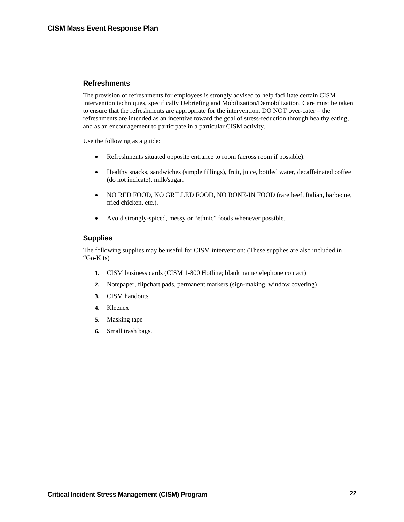# <span id="page-25-0"></span>**Refreshments**

The provision of refreshments for employees is strongly advised to help facilitate certain CISM intervention techniques, specifically Debriefing and Mobilization/Demobilization. Care must be taken to ensure that the refreshments are appropriate for the intervention. DO NOT over-cater – the refreshments are intended as an incentive toward the goal of stress-reduction through healthy eating, and as an encouragement to participate in a particular CISM activity.

Use the following as a guide:

- Refreshments situated opposite entrance to room (across room if possible).
- Healthy snacks, sandwiches (simple fillings), fruit, juice, bottled water, decaffeinated coffee (do not indicate), milk/sugar.
- NO RED FOOD, NO GRILLED FOOD, NO BONE-IN FOOD (rare beef, Italian, barbeque, fried chicken, etc.).
- Avoid strongly-spiced, messy or "ethnic" foods whenever possible.

# **Supplies**

The following supplies may be useful for CISM intervention: (These supplies are also included in "Go-Kits)

- **1.** CISM business cards (CISM 1-800 Hotline; blank name/telephone contact)
- **2.** Notepaper, flipchart pads, permanent markers (sign-making, window covering)
- **3.** CISM handouts
- **4.** Kleenex
- **5.** Masking tape
- **6.** Small trash bags.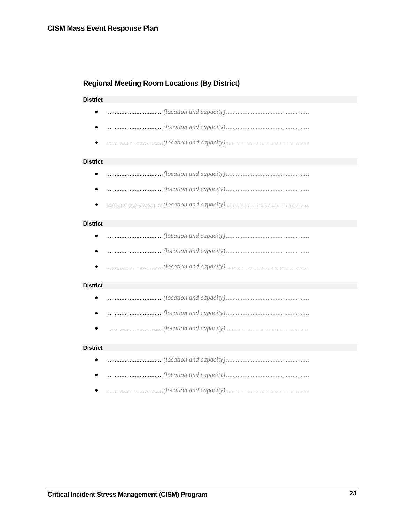# <span id="page-26-0"></span>**Regional Meeting Room Locations (By District)**

## **District**

- $\bullet$
- 
- 

#### **District**

- 
- 
- 

#### **District**

- $\bullet$
- 
- 

#### **District**

- $\bullet$
- 
- 

#### **District**

- $\bullet$
- $\bullet$
-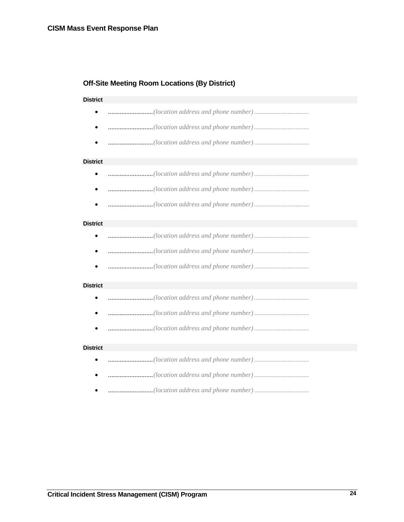# <span id="page-27-0"></span>**Off-Site Meeting Room Locations (By District)**

## **District**

- ...........................*(location address and phone number) .................................*
- ...........................*(location address and phone number) .................................*
- ...........................*(location address and phone number) .................................*

#### **District**

- ...........................*(location address and phone number) .................................*
- ...........................*(location address and phone number) .................................*
- ...........................*(location address and phone number) .................................*

#### **District**

- ...........................*(location address and phone number) .................................*
- ...........................*(location address and phone number) .................................*
- ...........................*(location address and phone number) .................................*

#### **District**

- ...........................*(location address and phone number) .................................*
- ...........................*(location address and phone number) .................................*
- ...........................*(location address and phone number) .................................*

#### **District**

- ...........................*(location address and phone number) .................................*
- ...........................*(location address and phone number) .................................*
- ...........................*(location address and phone number) .................................*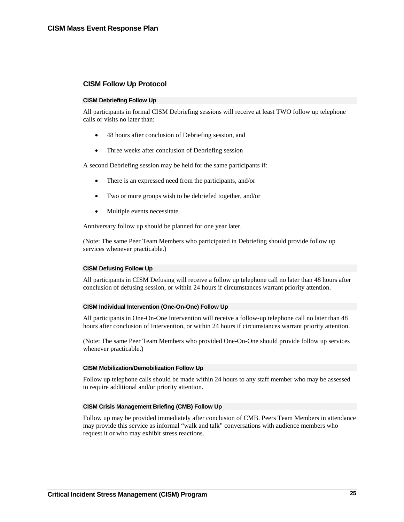# <span id="page-28-0"></span>**CISM Follow Up Protocol**

#### **CISM Debriefing Follow Up**

All participants in formal CISM Debriefing sessions will receive at least TWO follow up telephone calls or visits no later than:

- 48 hours after conclusion of Debriefing session, and
- Three weeks after conclusion of Debriefing session

A second Debriefing session may be held for the same participants if:

- There is an expressed need from the participants, and/or
- Two or more groups wish to be debriefed together, and/or
- Multiple events necessitate

Anniversary follow up should be planned for one year later.

(Note: The same Peer Team Members who participated in Debriefing should provide follow up services whenever practicable.)

## **CISM Defusing Follow Up**

All participants in CISM Defusing will receive a follow up telephone call no later than 48 hours after conclusion of defusing session, or within 24 hours if circumstances warrant priority attention.

#### **CISM Individual Intervention (One-On-One) Follow Up**

All participants in One-On-One Intervention will receive a follow-up telephone call no later than 48 hours after conclusion of Intervention, or within 24 hours if circumstances warrant priority attention.

(Note: The same Peer Team Members who provided One-On-One should provide follow up services whenever practicable.)

#### **CISM Mobilization/Demobilization Follow Up**

Follow up telephone calls should be made within 24 hours to any staff member who may be assessed to require additional and/or priority attention.

#### **CISM Crisis Management Briefing (CMB) Follow Up**

Follow up may be provided immediately after conclusion of CMB. Peers Team Members in attendance may provide this service as informal "walk and talk" conversations with audience members who request it or who may exhibit stress reactions.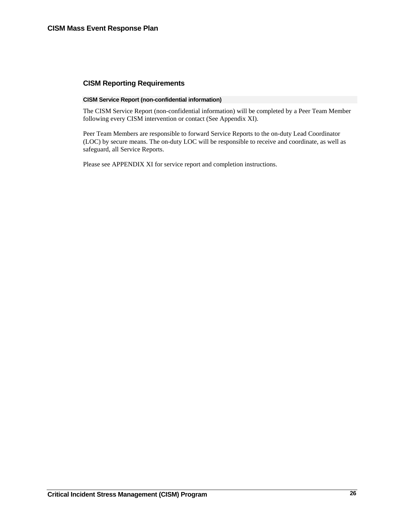# <span id="page-29-0"></span>**CISM Reporting Requirements**

### **CISM Service Report (non-confidential information)**

The CISM Service Report (non-confidential information) will be completed by a Peer Team Member following every CISM intervention or contact (See Appendix XI).

Peer Team Members are responsible to forward Service Reports to the on-duty Lead Coordinator (LOC) by secure means. The on-duty LOC will be responsible to receive and coordinate, as well as safeguard, all Service Reports.

Please see APPENDIX XI for service report and completion instructions.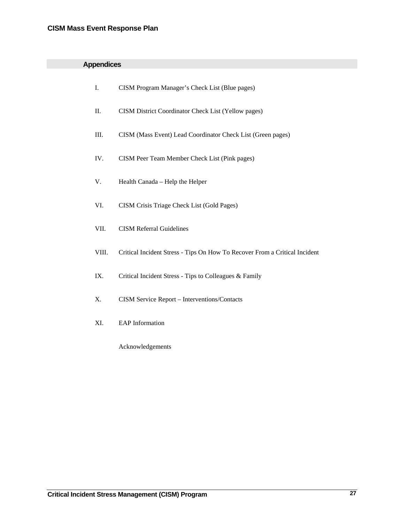|  |  | <b>Appendices</b> |
|--|--|-------------------|
|  |  |                   |

| I.    | CISM Program Manager's Check List (Blue pages)                             |
|-------|----------------------------------------------------------------------------|
| П.    | CISM District Coordinator Check List (Yellow pages)                        |
| Ш.    | CISM (Mass Event) Lead Coordinator Check List (Green pages)                |
| IV.   | CISM Peer Team Member Check List (Pink pages)                              |
| V.    | Health Canada - Help the Helper                                            |
| VI.   | CISM Crisis Triage Check List (Gold Pages)                                 |
| VII.  | <b>CISM Referral Guidelines</b>                                            |
| VIII. | Critical Incident Stress - Tips On How To Recover From a Critical Incident |
| IX.   | Critical Incident Stress - Tips to Colleagues & Family                     |
| X.    | CISM Service Report - Interventions/Contacts                               |
| XI.   | <b>EAP</b> Information                                                     |
|       | Acknowledgements                                                           |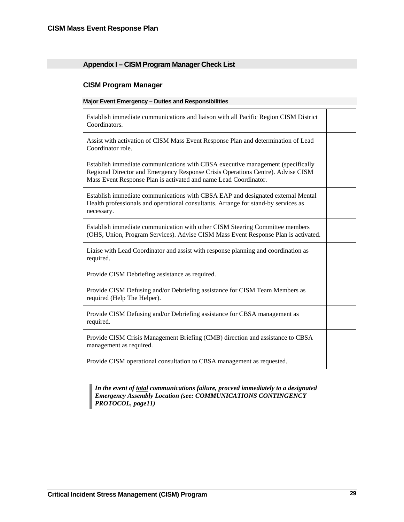# <span id="page-32-0"></span>**Appendix I – CISM Program Manager Check List**

# **CISM Program Manager**

#### **Major Event Emergency – Duties and Responsibilities**

Establish immediate communications and liaison with all Pacific Region CISM District Coordinators.

Assist with activation of CISM Mass Event Response Plan and determination of Lead Coordinator role.

Establish immediate communications with CBSA executive management (specifically Regional Director and Emergency Response Crisis Operations Centre). Advise CISM Mass Event Response Plan is activated and name Lead Coordinator.

Establish immediate communications with CBSA EAP and designated external Mental Health professionals and operational consultants. Arrange for stand-by services as necessary.

Establish immediate communication with other CISM Steering Committee members (OHS, Union, Program Services). Advise CISM Mass Event Response Plan is activated.

Liaise with Lead Coordinator and assist with response planning and coordination as required.

Provide CISM Debriefing assistance as required.

Provide CISM Defusing and/or Debriefing assistance for CISM Team Members as required (Help The Helper).

Provide CISM Defusing and/or Debriefing assistance for CBSA management as required.

Provide CISM Crisis Management Briefing (CMB) direction and assistance to CBSA management as required.

Provide CISM operational consultation to CBSA management as requested.

*In the event of total communications failure, proceed immediately to a designated Emergency Assembly Location (see: COMMUNICATIONS CONTINGENCY PROTOCOL, page11)*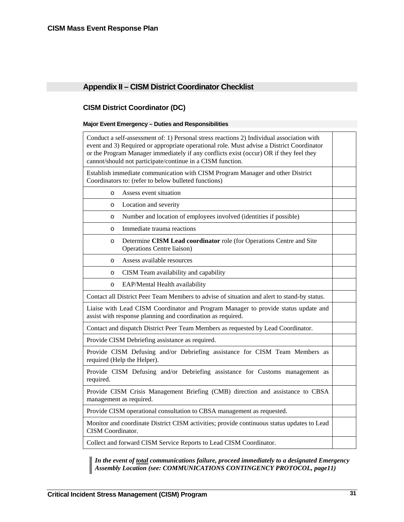# <span id="page-34-0"></span>**Appendix II – CISM District Coordinator Checklist**

# **CISM District Coordinator (DC)**

# **Major Event Emergency – Duties and Responsibilities**

| Conduct a self-assessment of: 1) Personal stress reactions 2) Individual association with<br>event and 3) Required or appropriate operational role. Must advise a District Coordinator<br>or the Program Manager immediately if any conflicts exist (occur) OR if they feel they<br>cannot/should not participate/continue in a CISM function. |  |  |  |
|------------------------------------------------------------------------------------------------------------------------------------------------------------------------------------------------------------------------------------------------------------------------------------------------------------------------------------------------|--|--|--|
| Establish immediate communication with CISM Program Manager and other District<br>Coordinators to: (refer to below bulleted functions)                                                                                                                                                                                                         |  |  |  |
| Assess event situation<br>$\circ$                                                                                                                                                                                                                                                                                                              |  |  |  |
| Location and severity<br>$\circ$                                                                                                                                                                                                                                                                                                               |  |  |  |
| Number and location of employees involved (identities if possible)<br>$\circ$                                                                                                                                                                                                                                                                  |  |  |  |
| Immediate trauma reactions<br>$\circ$                                                                                                                                                                                                                                                                                                          |  |  |  |
| Determine CISM Lead coordinator role (for Operations Centre and Site<br>$\circ$<br><b>Operations Centre liaison</b> )                                                                                                                                                                                                                          |  |  |  |
| Assess available resources<br>$\circ$                                                                                                                                                                                                                                                                                                          |  |  |  |
| CISM Team availability and capability<br>$\circ$                                                                                                                                                                                                                                                                                               |  |  |  |
| EAP/Mental Health availability<br>$\circ$                                                                                                                                                                                                                                                                                                      |  |  |  |
| Contact all District Peer Team Members to advise of situation and alert to stand-by status.                                                                                                                                                                                                                                                    |  |  |  |
| Liaise with Lead CISM Coordinator and Program Manager to provide status update and<br>assist with response planning and coordination as required.                                                                                                                                                                                              |  |  |  |
| Contact and dispatch District Peer Team Members as requested by Lead Coordinator.                                                                                                                                                                                                                                                              |  |  |  |
| Provide CISM Debriefing assistance as required.                                                                                                                                                                                                                                                                                                |  |  |  |
| Provide CISM Defusing and/or Debriefing assistance for CISM Team Members as<br>required (Help the Helper).                                                                                                                                                                                                                                     |  |  |  |
| Provide CISM Defusing and/or Debriefing assistance for Customs management as<br>required.                                                                                                                                                                                                                                                      |  |  |  |
| Provide CISM Crisis Management Briefing (CMB) direction and assistance to CBSA<br>management as required.                                                                                                                                                                                                                                      |  |  |  |
| Provide CISM operational consultation to CBSA management as requested.                                                                                                                                                                                                                                                                         |  |  |  |
| Monitor and coordinate District CISM activities; provide continuous status updates to Lead<br><b>CISM</b> Coordinator.                                                                                                                                                                                                                         |  |  |  |
| Collect and forward CISM Service Reports to Lead CISM Coordinator.                                                                                                                                                                                                                                                                             |  |  |  |

*In the event of total communications failure, proceed immediately to a designated Emergency Assembly Location (see: COMMUNICATIONS CONTINGENCY PROTOCOL, page11)*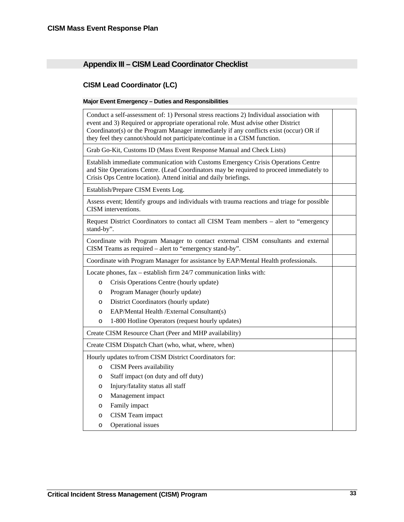# <span id="page-36-0"></span>**Appendix III – CISM Lead Coordinator Checklist**

# **CISM Lead Coordinator (LC)**

# **Major Event Emergency – Duties and Responsibilities**

| Conduct a self-assessment of: 1) Personal stress reactions 2) Individual association with<br>event and 3) Required or appropriate operational role. Must advise other District<br>Coordinator(s) or the Program Manager immediately if any conflicts exist (occur) OR if<br>they feel they cannot/should not participate/continue in a CISM function. |  |
|-------------------------------------------------------------------------------------------------------------------------------------------------------------------------------------------------------------------------------------------------------------------------------------------------------------------------------------------------------|--|
| Grab Go-Kit, Customs ID (Mass Event Response Manual and Check Lists)                                                                                                                                                                                                                                                                                  |  |
| Establish immediate communication with Customs Emergency Crisis Operations Centre<br>and Site Operations Centre. (Lead Coordinators may be required to proceed immediately to<br>Crisis Ops Centre location). Attend initial and daily briefings.                                                                                                     |  |
| Establish/Prepare CISM Events Log.                                                                                                                                                                                                                                                                                                                    |  |
| Assess event; Identify groups and individuals with trauma reactions and triage for possible<br>CISM interventions.                                                                                                                                                                                                                                    |  |
| Request District Coordinators to contact all CISM Team members - alert to "emergency<br>stand-by".                                                                                                                                                                                                                                                    |  |
| Coordinate with Program Manager to contact external CISM consultants and external<br>CISM Teams as required – alert to "emergency stand-by".                                                                                                                                                                                                          |  |
| Coordinate with Program Manager for assistance by EAP/Mental Health professionals.                                                                                                                                                                                                                                                                    |  |
| Locate phones, fax – establish firm 24/7 communication links with:                                                                                                                                                                                                                                                                                    |  |
| Crisis Operations Centre (hourly update)<br>$\circ$                                                                                                                                                                                                                                                                                                   |  |
| Program Manager (hourly update)<br>$\circ$                                                                                                                                                                                                                                                                                                            |  |
| District Coordinators (hourly update)<br>$\circ$                                                                                                                                                                                                                                                                                                      |  |
| EAP/Mental Health /External Consultant(s)<br>$\circ$                                                                                                                                                                                                                                                                                                  |  |
| 1-800 Hotline Operators (request hourly updates)<br>$\circ$                                                                                                                                                                                                                                                                                           |  |
| Create CISM Resource Chart (Peer and MHP availability)                                                                                                                                                                                                                                                                                                |  |
| Create CISM Dispatch Chart (who, what, where, when)                                                                                                                                                                                                                                                                                                   |  |
| Hourly updates to/from CISM District Coordinators for:                                                                                                                                                                                                                                                                                                |  |
| <b>CISM</b> Peers availability<br>$\circ$                                                                                                                                                                                                                                                                                                             |  |
| Staff impact (on duty and off duty)<br>$\circ$                                                                                                                                                                                                                                                                                                        |  |
| Injury/fatality status all staff<br>$\circ$                                                                                                                                                                                                                                                                                                           |  |
| Management impact<br>$\circ$                                                                                                                                                                                                                                                                                                                          |  |
| Family impact<br>$\circ$                                                                                                                                                                                                                                                                                                                              |  |
| CISM Team impact<br>$\circ$                                                                                                                                                                                                                                                                                                                           |  |
| Operational issues<br>$\circ$                                                                                                                                                                                                                                                                                                                         |  |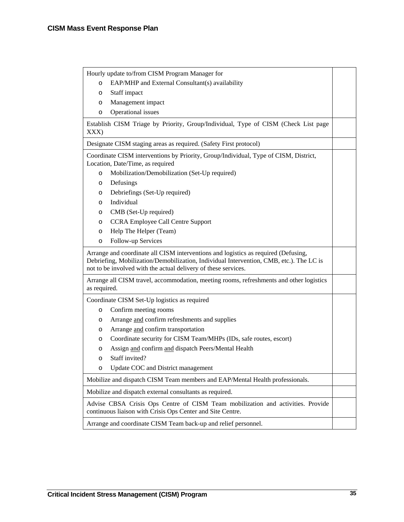| Hourly update to/from CISM Program Manager for                                                                                                                                                                                                  |  |  |
|-------------------------------------------------------------------------------------------------------------------------------------------------------------------------------------------------------------------------------------------------|--|--|
| EAP/MHP and External Consultant(s) availability<br>$\circ$                                                                                                                                                                                      |  |  |
| Staff impact                                                                                                                                                                                                                                    |  |  |
| Management impact<br>O                                                                                                                                                                                                                          |  |  |
| Operational issues<br>O                                                                                                                                                                                                                         |  |  |
| Establish CISM Triage by Priority, Group/Individual, Type of CISM (Check List page<br>XXX)                                                                                                                                                      |  |  |
| Designate CISM staging areas as required. (Safety First protocol)                                                                                                                                                                               |  |  |
| Coordinate CISM interventions by Priority, Group/Individual, Type of CISM, District,<br>Location, Date/Time, as required                                                                                                                        |  |  |
| Mobilization/Demobilization (Set-Up required)<br>$\circ$                                                                                                                                                                                        |  |  |
| Defusings<br>$\circ$                                                                                                                                                                                                                            |  |  |
| Debriefings (Set-Up required)<br>O                                                                                                                                                                                                              |  |  |
| Individual<br>$\circ$                                                                                                                                                                                                                           |  |  |
| CMB (Set-Up required)<br>$\circ$                                                                                                                                                                                                                |  |  |
| <b>CCRA Employee Call Centre Support</b><br>$\circ$                                                                                                                                                                                             |  |  |
| Help The Helper (Team)<br>$\circ$                                                                                                                                                                                                               |  |  |
| Follow-up Services<br>$\circ$                                                                                                                                                                                                                   |  |  |
|                                                                                                                                                                                                                                                 |  |  |
| Arrange and coordinate all CISM interventions and logistics as required (Defusing,<br>Debriefing, Mobilization/Demobilization, Individual Intervention, CMB, etc.). The LC is<br>not to be involved with the actual delivery of these services. |  |  |
| Arrange all CISM travel, accommodation, meeting rooms, refreshments and other logistics<br>as required.                                                                                                                                         |  |  |
| Coordinate CISM Set-Up logistics as required                                                                                                                                                                                                    |  |  |
| Confirm meeting rooms<br>$\circ$                                                                                                                                                                                                                |  |  |
| Arrange and confirm refreshments and supplies<br>$\circ$                                                                                                                                                                                        |  |  |
| Arrange and confirm transportation<br>O                                                                                                                                                                                                         |  |  |
| Coordinate security for CISM Team/MHPs (IDs, safe routes, escort)<br>O                                                                                                                                                                          |  |  |
| Assign and confirm and dispatch Peers/Mental Health<br>O                                                                                                                                                                                        |  |  |
| Staff invited?<br>O                                                                                                                                                                                                                             |  |  |
| Update COC and District management<br>$\circ$                                                                                                                                                                                                   |  |  |
| Mobilize and dispatch CISM Team members and EAP/Mental Health professionals.                                                                                                                                                                    |  |  |
| Mobilize and dispatch external consultants as required.                                                                                                                                                                                         |  |  |
| Advise CBSA Crisis Ops Centre of CISM Team mobilization and activities. Provide<br>continuous liaison with Crisis Ops Center and Site Centre.                                                                                                   |  |  |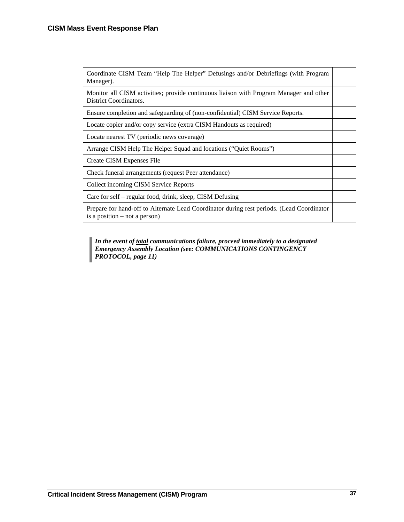| Coordinate CISM Team "Help The Helper" Defusings and/or Debriefings (with Program<br>Manager).                               |  |
|------------------------------------------------------------------------------------------------------------------------------|--|
| Monitor all CISM activities; provide continuous liaison with Program Manager and other<br>District Coordinators.             |  |
| Ensure completion and safeguarding of (non-confidential) CISM Service Reports.                                               |  |
| Locate copier and/or copy service (extra CISM Handouts as required)                                                          |  |
| Locate nearest TV (periodic news coverage)                                                                                   |  |
| Arrange CISM Help The Helper Squad and locations ("Quiet Rooms")                                                             |  |
| Create CISM Expenses File                                                                                                    |  |
| Check funeral arrangements (request Peer attendance)                                                                         |  |
| Collect incoming CISM Service Reports                                                                                        |  |
| Care for self – regular food, drink, sleep, CISM Defusing                                                                    |  |
| Prepare for hand-off to Alternate Lead Coordinator during rest periods. (Lead Coordinator<br>is a position $-$ not a person) |  |

*In the event of total communications failure, proceed immediately to a designated*  ۱ *Emergency Assembly Location (see: COMMUNICATIONS CONTINGENCY PROTOCOL, page 11)*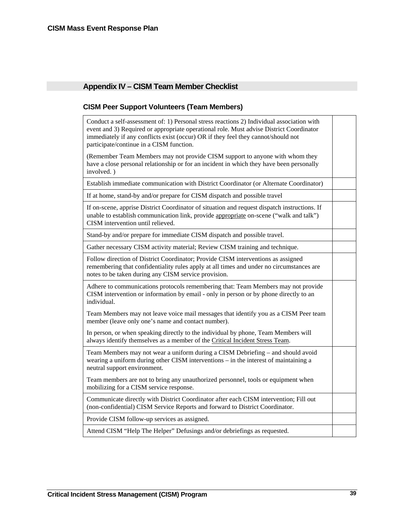# <span id="page-42-0"></span>**Appendix IV – CISM Team Member Checklist**

# **CISM Peer Support Volunteers (Team Members)**

Conduct a self-assessment of: 1) Personal stress reactions 2) Individual association with event and 3) Required or appropriate operational role. Must advise District Coordinator immediately if any conflicts exist (occur) OR if they feel they cannot/should not participate/continue in a CISM function.

(Remember Team Members may not provide CISM support to anyone with whom they have a close personal relationship or for an incident in which they have been personally involved. )

Establish immediate communication with District Coordinator (or Alternate Coordinator)

If at home, stand-by and/or prepare for CISM dispatch and possible travel

If on-scene, apprise District Coordinator of situation and request dispatch instructions. If unable to establish communication link, provide appropriate on-scene ("walk and talk") CISM intervention until relieved.

Stand-by and/or prepare for immediate CISM dispatch and possible travel.

Gather necessary CISM activity material; Review CISM training and technique.

Follow direction of District Coordinator; Provide CISM interventions as assigned remembering that confidentiality rules apply at all times and under no circumstances are notes to be taken during any CISM service provision.

Adhere to communications protocols remembering that: Team Members may not provide CISM intervention or information by email - only in person or by phone directly to an individual.

Team Members may not leave voice mail messages that identify you as a CISM Peer team member (leave only one's name and contact number).

In person, or when speaking directly to the individual by phone, Team Members will always identify themselves as a member of the Critical Incident Stress Team.

Team Members may not wear a uniform during a CISM Debriefing – and should avoid wearing a uniform during other CISM interventions – in the interest of maintaining a neutral support environment.

Team members are not to bring any unauthorized personnel, tools or equipment when mobilizing for a CISM service response.

Communicate directly with District Coordinator after each CISM intervention; Fill out (non-confidential) CISM Service Reports and forward to District Coordinator.

Provide CISM follow-up services as assigned.

Attend CISM "Help The Helper" Defusings and/or debriefings as requested.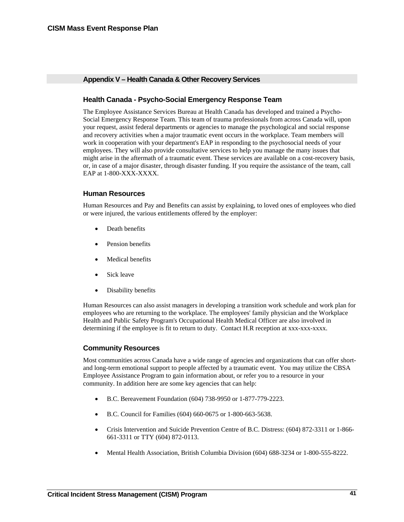# <span id="page-44-0"></span>**Appendix V – Health Canada & Other Recovery Services**

# **Health Canada - Psycho-Social Emergency Response Team**

The Employee Assistance Services Bureau at Health Canada has developed and trained a Psycho-Social Emergency Response Team. This team of trauma professionals from across Canada will, upon your request, assist federal departments or agencies to manage the psychological and social response and recovery activities when a major traumatic event occurs in the workplace. Team members will work in cooperation with your department's EAP in responding to the psychosocial needs of your employees. They will also provide consultative services to help you manage the many issues that might arise in the aftermath of a traumatic event. These services are available on a cost-recovery basis, or, in case of a major disaster, through disaster funding. If you require the assistance of the team, call EAP at 1-800-XXX-XXXX.

# **Human Resources**

Human Resources and Pay and Benefits can assist by explaining, to loved ones of employees who died or were injured, the various entitlements offered by the employer:

- Death benefits
- Pension benefits
- Medical benefits
- Sick leave
- Disability benefits

Human Resources can also assist managers in developing a transition work schedule and work plan for employees who are returning to the workplace. The employees' family physician and the Workplace Health and Public Safety Program's Occupational Health Medical Officer are also involved in determining if the employee is fit to return to duty. Contact H.R reception at xxx-xxx-xxxx.

# **Community Resources**

Most communities across Canada have a wide range of agencies and organizations that can offer shortand long-term emotional support to people affected by a traumatic event. You may utilize the CBSA Employee Assistance Program to gain information about, or refer you to a resource in your community. In addition here are some key agencies that can help:

- B.C. Bereavement Foundation (604) 738-9950 or 1-877-779-2223.
- B.C. Council for Families (604) 660-0675 or 1-800-663-5638.
- Crisis Intervention and Suicide Prevention Centre of B.C. Distress: (604) 872-3311 or 1-866- 661-3311 or TTY (604) 872-0113.
- Mental Health Association, British Columbia Division (604) 688-3234 or 1-800-555-8222.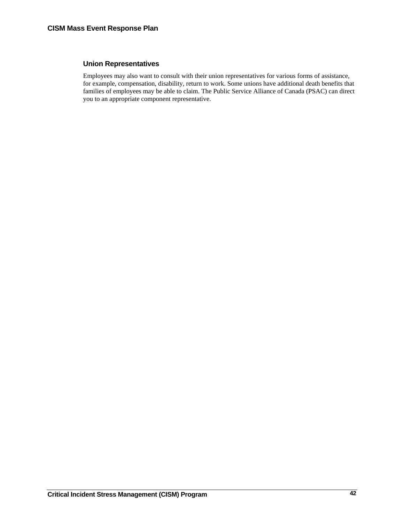# **Union Representatives**

Employees may also want to consult with their union representatives for various forms of assistance, for example, compensation, disability, return to work. Some unions have additional death benefits that families of employees may be able to claim. The Public Service Alliance of Canada (PSAC) can direct you to an appropriate component representative.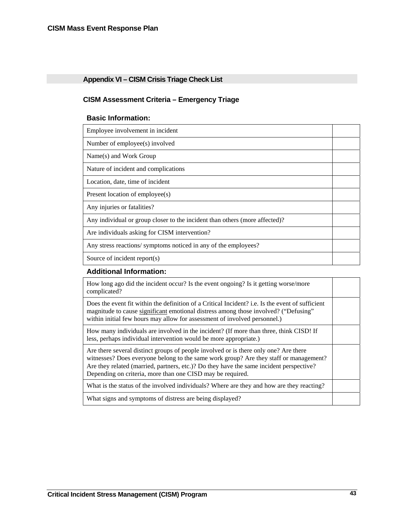# <span id="page-46-0"></span>**Appendix VI – CISM Crisis Triage Check List**

# **CISM Assessment Criteria – Emergency Triage**

# **Basic Information:**

| Employee involvement in incident                                            |  |
|-----------------------------------------------------------------------------|--|
| Number of employee(s) involved                                              |  |
| Name(s) and Work Group                                                      |  |
| Nature of incident and complications                                        |  |
| Location, date, time of incident                                            |  |
| Present location of employee(s)                                             |  |
| Any injuries or fatalities?                                                 |  |
| Any individual or group closer to the incident than others (more affected)? |  |
| Are individuals asking for CISM intervention?                               |  |
| Any stress reactions/symptoms noticed in any of the employees?              |  |
| Source of incident report(s)                                                |  |

# **Additional Information:**

| How long ago did the incident occur? Is the event ongoing? Is it getting worse/more<br>complicated?                                                                                                                                                                                                                                    |  |
|----------------------------------------------------------------------------------------------------------------------------------------------------------------------------------------------------------------------------------------------------------------------------------------------------------------------------------------|--|
| Does the event fit within the definition of a Critical Incident? i.e. Is the event of sufficient<br>magnitude to cause significant emotional distress among those involved? ("Defusing"<br>within initial few hours may allow for assessment of involved personnel.)                                                                   |  |
| How many individuals are involved in the incident? (If more than three, think CISD! If<br>less, perhaps individual intervention would be more appropriate.)                                                                                                                                                                            |  |
| Are there several distinct groups of people involved or is there only one? Are there<br>witnesses? Does everyone belong to the same work group? Are they staff or management?<br>Are they related (married, partners, etc.)? Do they have the same incident perspective?<br>Depending on criteria, more than one CISD may be required. |  |
| What is the status of the involved individuals? Where are they and how are they reacting?                                                                                                                                                                                                                                              |  |
| What signs and symptoms of distress are being displayed?                                                                                                                                                                                                                                                                               |  |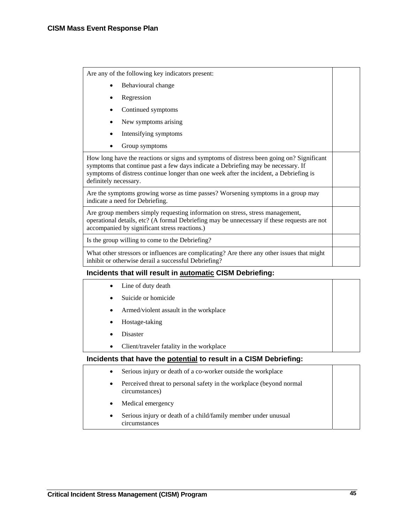Are any of the following key indicators present:

- Behavioural change
- **Regression**
- Continued symptoms
- New symptoms arising
- Intensifying symptoms
- Group symptoms

How long have the reactions or signs and symptoms of distress been going on? Significant symptoms that continue past a few days indicate a Debriefing may be necessary. If symptoms of distress continue longer than one week after the incident, a Debriefing is definitely necessary.

Are the symptoms growing worse as time passes? Worsening symptoms in a group may indicate a need for Debriefing.

Are group members simply requesting information on stress, stress management, operational details, etc? (A formal Debriefing may be unnecessary if these requests are not accompanied by significant stress reactions.)

Is the group willing to come to the Debriefing?

What other stressors or influences are complicating? Are there any other issues that might inhibit or otherwise derail a successful Debriefing?

# **Incidents that will result in automatic CISM Debriefing:**

- Line of duty death
- Suicide or homicide
- Armed/violent assault in the workplace
- Hostage-taking
- **Disaster**
- Client/traveler fatality in the workplace

# **Incidents that have the potential to result in a CISM Debriefing:**

- Serious injury or death of a co-worker outside the workplace
- Perceived threat to personal safety in the workplace (beyond normal circumstances)
- Medical emergency
- Serious injury or death of a child/family member under unusual circumstances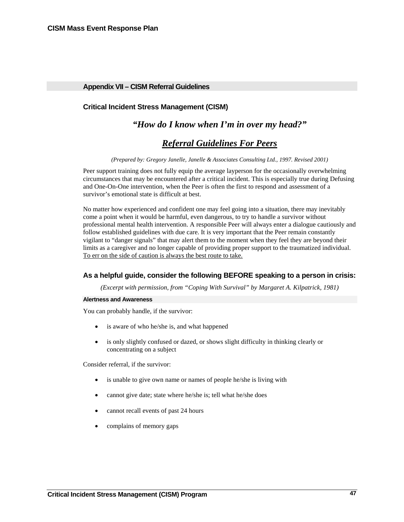# <span id="page-50-0"></span>**Appendix VII – CISM Referral Guidelines**

# **Critical Incident Stress Management (CISM)**

# *"How do I know when I'm in over my head?"*

# *Referral Guidelines For Peers*

*(Prepared by: Gregory Janelle, Janelle & Associates Consulting Ltd., 1997. Revised 2001)* 

Peer support training does not fully equip the average layperson for the occasionally overwhelming circumstances that may be encountered after a critical incident. This is especially true during Defusing and One-On-One intervention, when the Peer is often the first to respond and assessment of a survivor's emotional state is difficult at best.

No matter how experienced and confident one may feel going into a situation, there may inevitably come a point when it would be harmful, even dangerous, to try to handle a survivor without professional mental health intervention. A responsible Peer will always enter a dialogue cautiously and follow established guidelines with due care. It is very important that the Peer remain constantly vigilant to "danger signals" that may alert them to the moment when they feel they are beyond their limits as a caregiver and no longer capable of providing proper support to the traumatized individual. To err on the side of caution is always the best route to take.

## **As a helpful guide, consider the following BEFORE speaking to a person in crisis:**

*(Excerpt with permission, from "Coping With Survival" by Margaret A. Kilpatrick, 1981)* 

#### **Alertness and Awareness**

You can probably handle, if the survivor:

- is aware of who he/she is, and what happened
- is only slightly confused or dazed, or shows slight difficulty in thinking clearly or concentrating on a subject

Consider referral, if the survivor:

- is unable to give own name or names of people he/she is living with
- cannot give date; state where he/she is; tell what he/she does
- cannot recall events of past 24 hours
- complains of memory gaps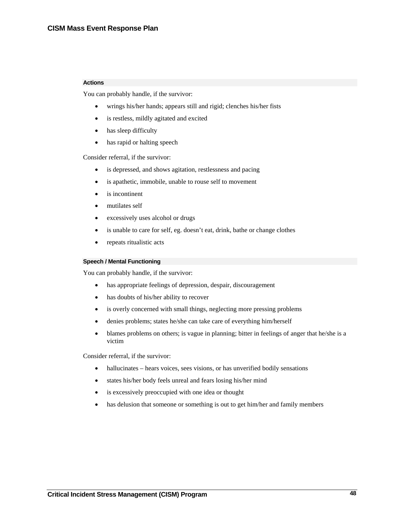#### **Actions**

You can probably handle, if the survivor:

- wrings his/her hands; appears still and rigid; clenches his/her fists
- is restless, mildly agitated and excited
- has sleep difficulty
- has rapid or halting speech

Consider referral, if the survivor:

- is depressed, and shows agitation, restlessness and pacing
- is apathetic, immobile, unable to rouse self to movement
- is incontinent
- mutilates self
- excessively uses alcohol or drugs
- is unable to care for self, eg. doesn't eat, drink, bathe or change clothes
- repeats ritualistic acts

#### **Speech / Mental Functioning**

You can probably handle, if the survivor:

- has appropriate feelings of depression, despair, discouragement
- has doubts of his/her ability to recover
- is overly concerned with small things, neglecting more pressing problems
- denies problems; states he/she can take care of everything him/herself
- blames problems on others; is vague in planning; bitter in feelings of anger that he/she is a victim

Consider referral, if the survivor:

- hallucinates hears voices, sees visions, or has unverified bodily sensations
- states his/her body feels unreal and fears losing his/her mind
- is excessively preoccupied with one idea or thought
- has delusion that someone or something is out to get him/her and family members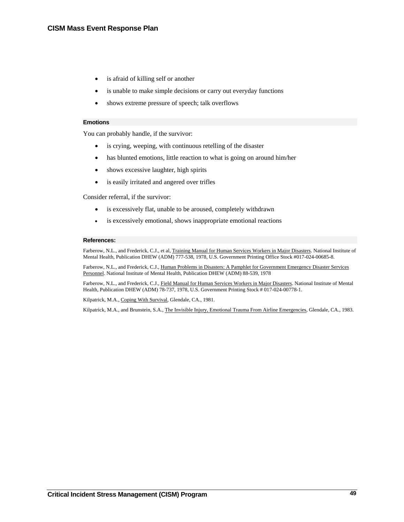- is afraid of killing self or another
- is unable to make simple decisions or carry out everyday functions
- shows extreme pressure of speech; talk overflows

#### **Emotions**

You can probably handle, if the survivor:

- is crying, weeping, with continuous retelling of the disaster
- has blunted emotions, little reaction to what is going on around him/her
- shows excessive laughter, high spirits
- is easily irritated and angered over trifles

Consider referral, if the survivor:

- is excessively flat, unable to be aroused, completely withdrawn
- is excessively emotional, shows inappropriate emotional reactions

#### **References:**

Farberow, N.L., and Frederick, C.J., et al, Training Manual for Human Services Workers in Major Disasters. National Institute of Mental Health, Publication DHEW (ADM) 777-538, 1978, U.S. Government Printing Office Stock #017-024-00685-8.

Farberow, N.L., and Frederick, C.J., Human Problems in Disasters: A Pamphlet for Government Emergency Disaster Services Personnel. National Institute of Mental Health, Publication DHEW (ADM) 88-539, 1978

Farberow, N.L., and Frederick, C.J., Field Manual for Human Services Workers in Major Disasters. National Institute of Mental Health, Publication DHEW (ADM) 78-737, 1978, U.S. Government Printing Stock # 017-024-00778-1.

Kilpatrick, M.A., Coping With Survival, Glendale, CA., 1981.

Kilpatrick, M.A., and Brunstein, S.A., The Invisible Injury, Emotional Trauma From Airline Emergencies, Glendale, CA., 1983.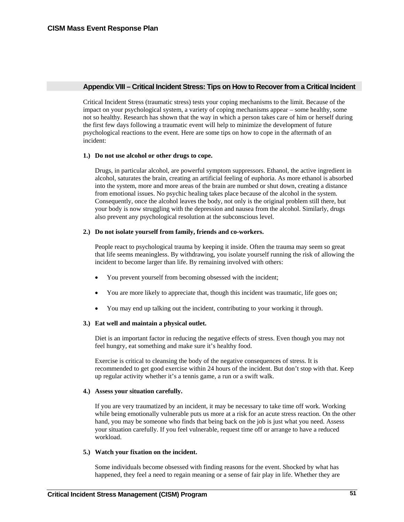### <span id="page-54-0"></span>**Appendix VIII – Critical Incident Stress: Tips on How to Recover from a Critical Incident**

Critical Incident Stress (traumatic stress) tests your coping mechanisms to the limit. Because of the impact on your psychological system, a variety of coping mechanisms appear – some healthy, some not so healthy. Research has shown that the way in which a person takes care of him or herself during the first few days following a traumatic event will help to minimize the development of future psychological reactions to the event. Here are some tips on how to cope in the aftermath of an incident:

#### **1.) Do not use alcohol or other drugs to cope.**

Drugs, in particular alcohol, are powerful symptom suppressors. Ethanol, the active ingredient in alcohol, saturates the brain, creating an artificial feeling of euphoria. As more ethanol is absorbed into the system, more and more areas of the brain are numbed or shut down, creating a distance from emotional issues. No psychic healing takes place because of the alcohol in the system. Consequently, once the alcohol leaves the body, not only is the original problem still there, but your body is now struggling with the depression and nausea from the alcohol. Similarly, drugs also prevent any psychological resolution at the subconscious level.

# **2.) Do not isolate yourself from family, friends and co-workers.**

People react to psychological trauma by keeping it inside. Often the trauma may seem so great that life seems meaningless. By withdrawing, you isolate yourself running the risk of allowing the incident to become larger than life. By remaining involved with others:

- You prevent yourself from becoming obsessed with the incident;
- You are more likely to appreciate that, though this incident was traumatic, life goes on;
- You may end up talking out the incident, contributing to your working it through.

# **3.) Eat well and maintain a physical outlet.**

Diet is an important factor in reducing the negative effects of stress. Even though you may not feel hungry, eat something and make sure it's healthy food.

Exercise is critical to cleansing the body of the negative consequences of stress. It is recommended to get good exercise within 24 hours of the incident. But don't stop with that. Keep up regular activity whether it's a tennis game, a run or a swift walk.

#### **4.) Assess your situation carefully.**

If you are very traumatized by an incident, it may be necessary to take time off work. Working while being emotionally vulnerable puts us more at a risk for an acute stress reaction. On the other hand, you may be someone who finds that being back on the job is just what you need. Assess your situation carefully. If you feel vulnerable, request time off or arrange to have a reduced workload.

#### **5.) Watch your fixation on the incident.**

Some individuals become obsessed with finding reasons for the event. Shocked by what has happened, they feel a need to regain meaning or a sense of fair play in life. Whether they are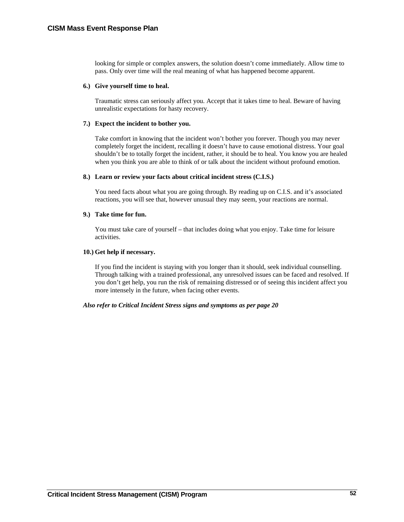looking for simple or complex answers, the solution doesn't come immediately. Allow time to pass. Only over time will the real meaning of what has happened become apparent.

## **6.) Give yourself time to heal.**

Traumatic stress can seriously affect you. Accept that it takes time to heal. Beware of having unrealistic expectations for hasty recovery.

## **7.) Expect the incident to bother you.**

Take comfort in knowing that the incident won't bother you forever. Though you may never completely forget the incident, recalling it doesn't have to cause emotional distress. Your goal shouldn't be to totally forget the incident, rather, it should be to heal. You know you are healed when you think you are able to think of or talk about the incident without profound emotion.

### **8.) Learn or review your facts about critical incident stress (C.I.S.)**

You need facts about what you are going through. By reading up on C.I.S. and it's associated reactions, you will see that, however unusual they may seem, your reactions are normal.

## **9.) Take time for fun.**

You must take care of yourself – that includes doing what you enjoy. Take time for leisure activities.

### **10.) Get help if necessary.**

If you find the incident is staying with you longer than it should, seek individual counselling. Through talking with a trained professional, any unresolved issues can be faced and resolved. If you don't get help, you run the risk of remaining distressed or of seeing this incident affect you more intensely in the future, when facing other events.

# *Also refer to Critical Incident Stress signs and symptoms as per page 20*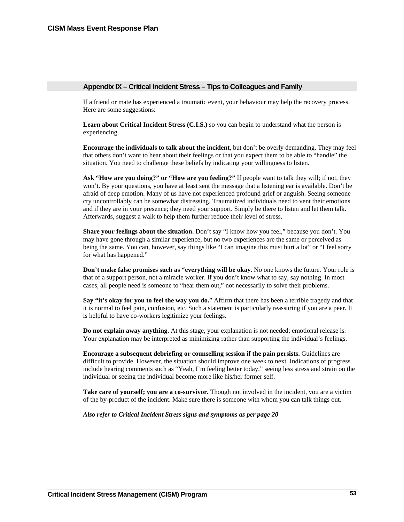## <span id="page-56-0"></span>**Appendix IX – Critical Incident Stress – Tips to Colleagues and Family**

If a friend or mate has experienced a traumatic event, your behaviour may help the recovery process. Here are some suggestions:

**Learn about Critical Incident Stress (C.I.S.)** so you can begin to understand what the person is experiencing.

**Encourage the individuals to talk about the incident**, but don't be overly demanding. They may feel that others don't want to hear about their feelings or that you expect them to be able to "handle" the situation. You need to challenge these beliefs by indicating your willingness to listen.

**Ask "How are you doing?" or "How are you feeling?"** If people want to talk they will; if not, they won't. By your questions, you have at least sent the message that a listening ear is available. Don't be afraid of deep emotion. Many of us have not experienced profound grief or anguish. Seeing someone cry uncontrollably can be somewhat distressing. Traumatized individuals need to vent their emotions and if they are in your presence; they need your support. Simply be there to listen and let them talk. Afterwards, suggest a walk to help them further reduce their level of stress.

**Share your feelings about the situation.** Don't say "I know how you feel," because you don't. You may have gone through a similar experience, but no two experiences are the same or perceived as being the same. You can, however, say things like "I can imagine this must hurt a lot" or "I feel sorry for what has happened."

**Don't make false promises such as "everything will be okay.** No one knows the future. Your role is that of a support person, not a miracle worker. If you don't know what to say, say nothing. In most cases, all people need is someone to "hear them out," not necessarily to solve their problems.

**Say "it's okay for you to feel the way you do.**" Affirm that there has been a terrible tragedy and that it is normal to feel pain, confusion, etc. Such a statement is particularly reassuring if you are a peer. It is helpful to have co-workers legitimize your feelings.

**Do not explain away anything.** At this stage, your explanation is not needed; emotional release is. Your explanation may be interpreted as minimizing rather than supporting the individual's feelings.

**Encourage a subsequent debriefing or counselling session if the pain persists.** Guidelines are difficult to provide. However, the situation should improve one week to next. Indications of progress include hearing comments such as "Yeah, I'm feeling better today," seeing less stress and strain on the individual or seeing the individual become more like his/her former self.

**Take care of yourself; you are a co-survivor.** Though not involved in the incident, you are a victim of the by-product of the incident. Make sure there is someone with whom you can talk things out.

*Also refer to Critical Incident Stress signs and symptoms as per page 20*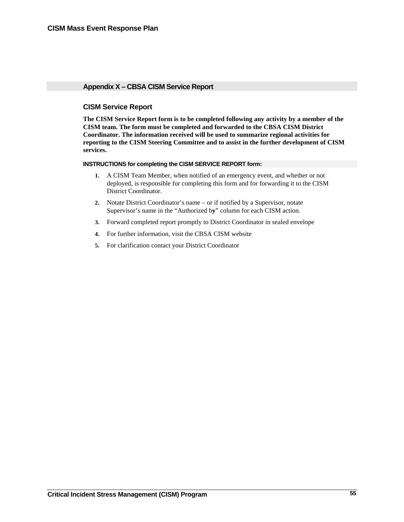# <span id="page-58-0"></span>**Appendix X – CBSA CISM Service Report**

# **CISM Service Report**

**The CISM Service Report form is to be completed following any activity by a member of the CISM team. The form must be completed and forwarded to the CBSA CISM District Coordinator. The information received will be used to summarize regional activities for reporting to the CISM Steering Committee and to assist in the further development of CISM services.**

#### **INSTRUCTIONS for completing the CISM SERVICE REPORT form:**

- **1.** A CISM Team Member, when notified of an emergency event, and whether or not deployed, is responsible for completing this form and for forwarding it to the CISM District Coordinator.
- **2.** Notate District Coordinator's name or if notified by a Supervisor, notate Supervisor's name in the "Authorized b**y**" column for each CISM action.
- **3.** Forward completed report promptly to District Coordinator in sealed envelope
- **4.** For further information, visit the CBSA CISM website
- **5.** For clarification contact your District Coordinator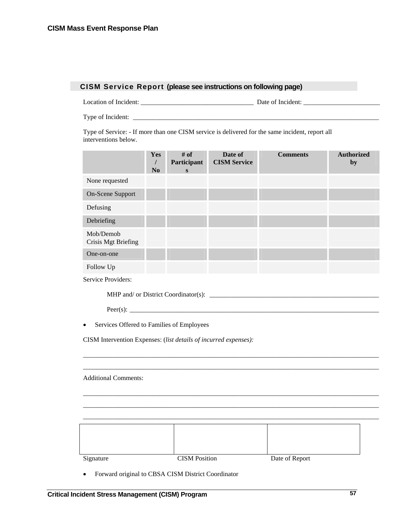# **CISM Service Report (please see instructions on following page)**

Location of Incident: \_\_\_\_\_\_\_\_\_\_\_\_\_\_\_\_\_\_\_\_\_\_\_\_\_\_\_\_\_\_\_\_\_\_ Date of Incident: \_\_\_\_\_\_\_\_\_\_\_\_\_\_\_\_\_\_\_\_\_\_\_

Type of Incident: \_\_\_\_\_\_\_\_\_\_\_\_\_\_\_\_\_\_\_\_\_\_\_\_\_\_\_\_\_\_\_\_\_\_\_\_\_\_\_\_\_\_\_\_\_\_\_\_\_\_\_\_\_\_\_\_\_\_\_\_\_\_\_\_\_\_\_\_\_\_\_\_\_\_

Type of Service: - If more than one CISM service is delivered for the same incident, report all interventions below.

|                                  | Yes<br>N <sub>0</sub> | $#$ of<br>Participant<br>S | Date of<br><b>CISM Service</b> | <b>Comments</b> | <b>Authorized</b><br>by |
|----------------------------------|-----------------------|----------------------------|--------------------------------|-----------------|-------------------------|
| None requested                   |                       |                            |                                |                 |                         |
| <b>On-Scene Support</b>          |                       |                            |                                |                 |                         |
| Defusing                         |                       |                            |                                |                 |                         |
| Debriefing                       |                       |                            |                                |                 |                         |
| Mob/Demob<br>Crisis Mgt Briefing |                       |                            |                                |                 |                         |
| One-on-one                       |                       |                            |                                |                 |                         |
| Follow Up                        |                       |                            |                                |                 |                         |

Service Providers:

MHP and/ or District Coordinator(s): \_\_\_\_\_\_\_\_\_\_\_\_\_\_\_\_\_\_\_\_\_\_\_\_\_\_\_\_\_\_\_\_\_\_\_\_\_\_\_\_\_\_\_\_\_\_\_\_\_\_\_

 $Peer(s)$ :

• Services Offered to Families of Employees

CISM Intervention Expenses: (*list details of incurred expenses):*

Additional Comments:

| Signature | <b>CISM</b> Position | Date of Report |
|-----------|----------------------|----------------|

\_\_\_\_\_\_\_\_\_\_\_\_\_\_\_\_\_\_\_\_\_\_\_\_\_\_\_\_\_\_\_\_\_\_\_\_\_\_\_\_\_\_\_\_\_\_\_\_\_\_\_\_\_\_\_\_\_\_\_\_\_\_\_\_\_\_\_\_\_\_\_\_\_\_\_\_\_\_\_\_\_\_\_\_\_\_\_\_\_ \_\_\_\_\_\_\_\_\_\_\_\_\_\_\_\_\_\_\_\_\_\_\_\_\_\_\_\_\_\_\_\_\_\_\_\_\_\_\_\_\_\_\_\_\_\_\_\_\_\_\_\_\_\_\_\_\_\_\_\_\_\_\_\_\_\_\_\_\_\_\_\_\_\_\_\_\_\_\_\_\_\_\_\_\_\_\_\_\_

\_\_\_\_\_\_\_\_\_\_\_\_\_\_\_\_\_\_\_\_\_\_\_\_\_\_\_\_\_\_\_\_\_\_\_\_\_\_\_\_\_\_\_\_\_\_\_\_\_\_\_\_\_\_\_\_\_\_\_\_\_\_\_\_\_\_\_\_\_\_\_\_\_\_\_\_\_\_\_\_\_\_\_\_\_\_\_\_\_ \_\_\_\_\_\_\_\_\_\_\_\_\_\_\_\_\_\_\_\_\_\_\_\_\_\_\_\_\_\_\_\_\_\_\_\_\_\_\_\_\_\_\_\_\_\_\_\_\_\_\_\_\_\_\_\_\_\_\_\_\_\_\_\_\_\_\_\_\_\_\_\_\_\_\_\_\_\_\_\_\_\_\_\_\_\_\_\_\_ \_\_\_\_\_\_\_\_\_\_\_\_\_\_\_\_\_\_\_\_\_\_\_\_\_\_\_\_\_\_\_\_\_\_\_\_\_\_\_\_\_\_\_\_\_\_\_\_\_\_\_\_\_\_\_\_\_\_\_\_\_\_\_\_\_\_\_\_\_\_\_\_\_\_\_\_\_\_\_\_\_\_\_\_\_\_\_\_\_

• Forward original to CBSA CISM District Coordinator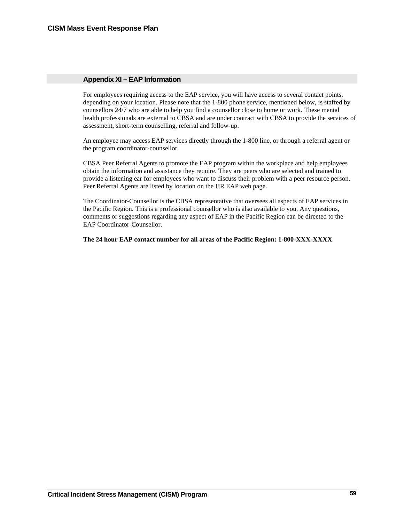# <span id="page-62-0"></span>**Appendix XI – EAP Information**

For employees requiring access to the EAP service, you will have access to several contact points, depending on your location. Please note that the 1-800 phone service, mentioned below, is staffed by counsellors 24/7 who are able to help you find a counsellor close to home or work. These mental health professionals are external to CBSA and are under contract with CBSA to provide the services of assessment, short-term counselling, referral and follow-up.

An employee may access EAP services directly through the 1-800 line, or through a referral agent or the program coordinator-counsellor.

CBSA Peer Referral Agents to promote the EAP program within the workplace and help employees obtain the information and assistance they require. They are peers who are selected and trained to provide a listening ear for employees who want to discuss their problem with a peer resource person. Peer Referral Agents are listed by location on the HR EAP web page.

The Coordinator-Counsellor is the CBSA representative that oversees all aspects of EAP services in the Pacific Region. This is a professional counsellor who is also available to you. Any questions, comments or suggestions regarding any aspect of EAP in the Pacific Region can be directed to the EAP Coordinator-Counsellor.

**The 24 hour EAP contact number for all areas of the Pacific Region: 1-800-XXX-XXXX**